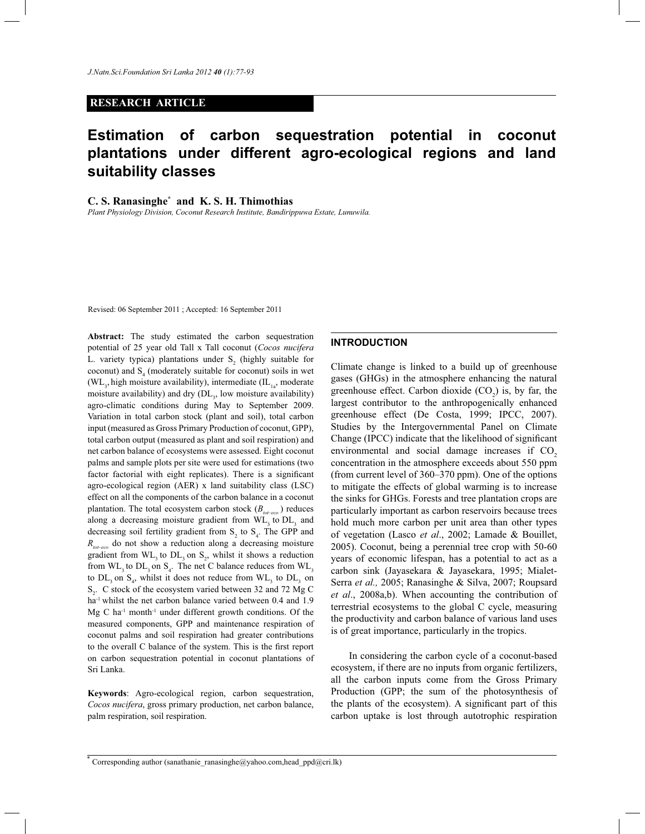### **RESEARCH ARTICLE**

# **Estimation of carbon sequestration potential in coconut plantations under different agro-ecological regions and land suitability classes**

### **C. S. Ranasinghe\* and K. S. H. Thimothias**

*Plant Physiology Division, Coconut Research Institute, Bandirippuwa Estate, Lunuwila.*

Revised: 06 September 2011 ; Accepted: 16 September 2011

**Abstract:** The study estimated the carbon sequestration potential of 25 year old Tall x Tall coconut (*Cocos nucifera* L. variety typica) plantations under  $S_2$  (highly suitable for coconut) and  $S<sub>4</sub>$  (moderately suitable for coconut) soils in wet (WL<sub>3</sub>, high moisture availability), intermediate (IL<sub>1a</sub>, moderate moisture availability) and dry (DL<sub>3</sub>, low moisture availability) agro-climatic conditions during May to September 2009. Variation in total carbon stock (plant and soil), total carbon input (measured as Gross Primary Production of coconut, GPP), total carbon output (measured as plant and soil respiration) and net carbon balance of ecosystems were assessed. Eight coconut palms and sample plots per site were used for estimations (two factor factorial with eight replicates). There is a significant agro-ecological region (AER) x land suitability class (LSC) effect on all the components of the carbon balance in a coconut plantation. The total ecosystem carbon stock (*Btot*–*eco*  ) reduces along a decreasing moisture gradient from  $WL$ <sub>3</sub> to  $DL$ <sub>3</sub> and decreasing soil fertility gradient from  $S_2$  to  $S_4$ . The GPP and *Rtot*–*eco* do not show a reduction along a decreasing moisture gradient from  $WL_3$  to  $DL_3$  on  $S_2$ , whilst it shows a reduction from  $WL$ <sub>3</sub> to  $DL$ <sub>3</sub> on  $S$ <sub>4</sub>. The net C balance reduces from  $WL$ <sub>3</sub> to  $DL_3$  on  $S_4$ , whilst it does not reduce from  $WL_3$  to  $DL_3$  on  $S_2$ . C stock of the ecosystem varied between 32 and 72 Mg C ha<sup>-1</sup> whilst the net carbon balance varied between 0.4 and 1.9 Mg C ha<sup>-1</sup> month<sup>-1</sup> under different growth conditions. Of the measured components, GPP and maintenance respiration of coconut palms and soil respiration had greater contributions to the overall C balance of the system. This is the first report on carbon sequestration potential in coconut plantations of Sri Lanka.

**Keywords**: Agro-ecological region, carbon sequestration, *Cocos nucifera*, gross primary production, net carbon balance, palm respiration, soil respiration.

# **INTRODUCTION**

Climate change is linked to a build up of greenhouse gases (GHGs) in the atmosphere enhancing the natural greenhouse effect. Carbon dioxide  $(CO_2)$  is, by far, the largest contributor to the anthropogenically enhanced greenhouse effect (De Costa, 1999; IPCC, 2007). Studies by the Intergovernmental Panel on Climate Change (IPCC) indicate that the likelihood of significant environmental and social damage increases if  $CO<sub>2</sub>$ concentration in the atmosphere exceeds about 550 ppm (from current level of 360*–*370 ppm). One of the options to mitigate the effects of global warming is to increase the sinks for GHGs. Forests and tree plantation crops are particularly important as carbon reservoirs because trees hold much more carbon per unit area than other types of vegetation (Lasco *et al*., 2002; Lamade & Bouillet, 2005). Coconut, being a perennial tree crop with 50-60 years of economic lifespan, has a potential to act as a carbon sink (Jayasekara & Jayasekara, 1995; Mialet-Serra *et al.,* 2005; Ranasinghe & Silva, 2007; Roupsard *et al*., 2008a,b). When accounting the contribution of terrestrial ecosystems to the global C cycle, measuring the productivity and carbon balance of various land uses is of great importance, particularly in the tropics.

 In considering the carbon cycle of a coconut-based ecosystem, if there are no inputs from organic fertilizers, all the carbon inputs come from the Gross Primary Production (GPP; the sum of the photosynthesis of the plants of the ecosystem). A significant part of this carbon uptake is lost through autotrophic respiration

<sup>\*</sup> Corresponding author (sanathanie\_ranasinghe@yahoo.com,head\_ppd@cri.lk)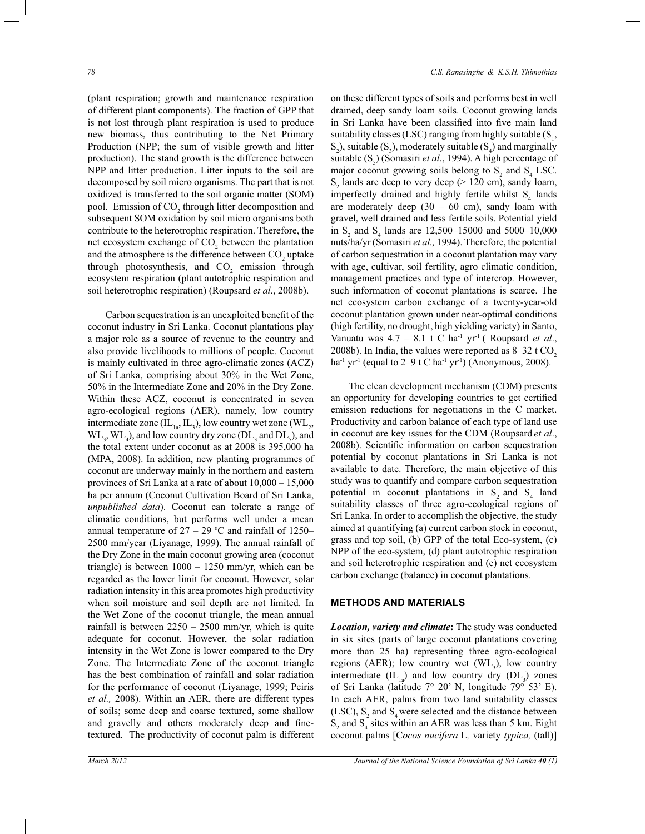(plant respiration; growth and maintenance respiration of different plant components). The fraction of GPP that is not lost through plant respiration is used to produce new biomass, thus contributing to the Net Primary Production (NPP; the sum of visible growth and litter production). The stand growth is the difference between NPP and litter production. Litter inputs to the soil are decomposed by soil micro organisms. The part that is not oxidized is transferred to the soil organic matter (SOM) pool. Emission of  $CO<sub>2</sub>$  through litter decomposition and subsequent SOM oxidation by soil micro organisms both contribute to the heterotrophic respiration. Therefore, the net ecosystem exchange of  $CO<sub>2</sub>$  between the plantation and the atmosphere is the difference between  $\mathrm{CO}_2$  uptake through photosynthesis, and  $CO<sub>2</sub>$  emission through ecosystem respiration (plant autotrophic respiration and soil heterotrophic respiration) (Roupsard *et al*., 2008b).

 Carbon sequestration is an unexploited benefit of the coconut industry in Sri Lanka. Coconut plantations play a major role as a source of revenue to the country and also provide livelihoods to millions of people. Coconut is mainly cultivated in three agro-climatic zones (ACZ) of Sri Lanka, comprising about 30% in the Wet Zone, 50% in the Intermediate Zone and 20% in the Dry Zone. Within these ACZ, coconut is concentrated in seven agro-ecological regions (AER), namely, low country intermediate zone  $(IL_{1a}, IL_3)$ , low country wet zone  $(WL_2,$  $WL_3$ ,  $WL_4$ ), and low country dry zone ( $DL_3$  and  $DL_5$ ), and the total extent under coconut as at 2008 is 395,000 ha (MPA, 2008). In addition, new planting programmes of coconut are underway mainly in the northern and eastern provinces of Sri Lanka at a rate of about 10,000 – 15,000 ha per annum (Coconut Cultivation Board of Sri Lanka, *unpublished data*). Coconut can tolerate a range of climatic conditions, but performs well under a mean annual temperature of  $27 - 29$  °C and rainfall of 1250– 2500 mm/year (Liyanage, 1999). The annual rainfall of the Dry Zone in the main coconut growing area (coconut triangle) is between 1000 *–* 1250 mm/yr, which can be regarded as the lower limit for coconut. However, solar radiation intensity in this area promotes high productivity when soil moisture and soil depth are not limited. In the Wet Zone of the coconut triangle, the mean annual rainfall is between 2250 *–* 2500 mm/yr, which is quite adequate for coconut. However, the solar radiation intensity in the Wet Zone is lower compared to the Dry Zone. The Intermediate Zone of the coconut triangle has the best combination of rainfall and solar radiation for the performance of coconut (Liyanage, 1999; Peiris *et al.,* 2008). Within an AER, there are different types of soils; some deep and coarse textured, some shallow and gravelly and others moderately deep and finetextured. The productivity of coconut palm is different

on these different types of soils and performs best in well drained, deep sandy loam soils. Coconut growing lands in Sri Lanka have been classified into five main land suitability classes (LSC) ranging from highly suitable  $(S_1,$  $S_2$ ), suitable (S<sub>3</sub>), moderately suitable (S<sub>4</sub>) and marginally suitable (S<sub>5</sub>) (Somasiri *et al.*, 1994). A high percentage of major coconut growing soils belong to  $S_2$  and  $S_4$  LSC.  $S_2$  lands are deep to very deep ( $> 120$  cm), sandy loam, imperfectly drained and highly fertile whilst  $S_4$  lands are moderately deep (30 *–* 60 cm), sandy loam with gravel, well drained and less fertile soils. Potential yield in S<sub>2</sub> and S<sub>4</sub> lands are 12,500–15000 and 5000–10,000 nuts/ha/yr (Somasiri *et al.,* 1994). Therefore, the potential of carbon sequestration in a coconut plantation may vary with age, cultivar, soil fertility, agro climatic condition, management practices and type of intercrop. However, such information of coconut plantations is scarce. The net ecosystem carbon exchange of a twenty-year-old coconut plantation grown under near-optimal conditions (high fertility, no drought, high yielding variety) in Santo, Vanuatu was 4.7 – 8.1 t C ha<sup>-1</sup> yr<sup>-1</sup> (Roupsard *et al.*, 2008b). In India, the values were reported as 8–32 t CO<sub>2</sub> ha-1 yr-1 (equal to 2*–*9 t C ha-1 yr-1) (Anonymous, 2008).

 The clean development mechanism (CDM) presents an opportunity for developing countries to get certified emission reductions for negotiations in the C market. Productivity and carbon balance of each type of land use in coconut are key issues for the CDM (Roupsard *et al*., 2008b). Scientific information on carbon sequestration potential by coconut plantations in Sri Lanka is not available to date. Therefore, the main objective of this study was to quantify and compare carbon sequestration potential in coconut plantations in  $S_2$  and  $S_4$  land suitability classes of three agro-ecological regions of Sri Lanka. In order to accomplish the objective, the study aimed at quantifying (a) current carbon stock in coconut, grass and top soil, (b) GPP of the total Eco-system, (c) NPP of the eco-system, (d) plant autotrophic respiration and soil heterotrophic respiration and (e) net ecosystem carbon exchange (balance) in coconut plantations.

#### **METHODS AND MATERIALS**

*Location, variety and climate***:** The study was conducted in six sites (parts of large coconut plantations covering more than 25 ha) representing three agro-ecological regions (AER); low country wet  $(WL_3)$ , low country intermediate  $(IL_{1a})$  and low country dry  $(DL_3)$  zones of Sri Lanka (latitude  $7^{\circ}$  20' N, longitude  $79^{\circ}$  53' E). In each AER, palms from two land suitability classes (LSC),  $S_2$  and  $S_4$  were selected and the distance between  $S_2$  and  $S_4$  sites within an AER was less than 5 km. Eight coconut palms [C*ocos nucifera* L*,* variety *typica,* (tall)]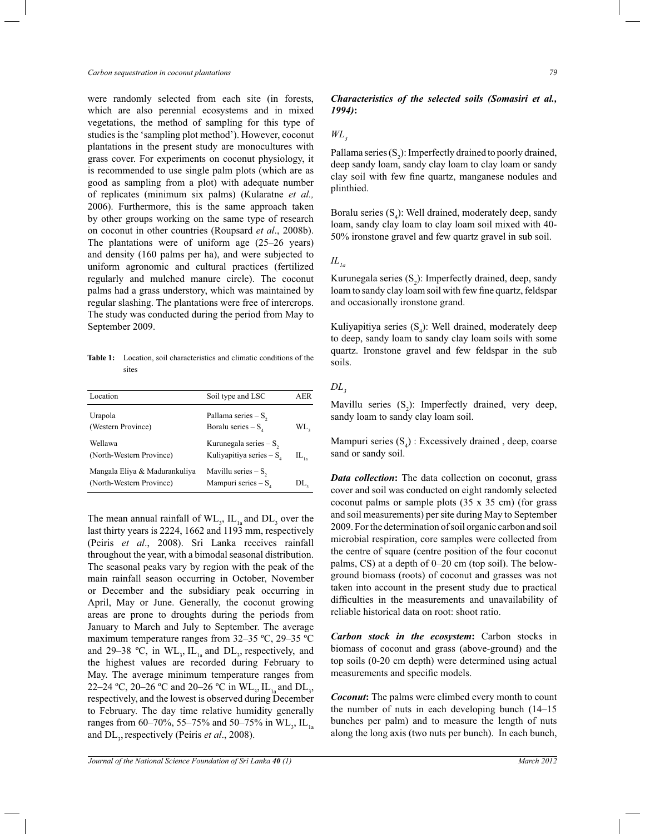*Carbon sequestration in coconut plantations 79*

were randomly selected from each site (in forests, which are also perennial ecosystems and in mixed vegetations, the method of sampling for this type of studies is the 'sampling plot method'). However, coconut plantations in the present study are monocultures with grass cover. For experiments on coconut physiology, it is recommended to use single palm plots (which are as good as sampling from a plot) with adequate number of replicates (minimum six palms) (Kularatne *et al.,* 2006). Furthermore, this is the same approach taken by other groups working on the same type of research on coconut in other countries (Roupsard *et al*., 2008b). The plantations were of uniform age (25*–*26 years) and density (160 palms per ha), and were subjected to uniform agronomic and cultural practices (fertilized regularly and mulched manure circle). The coconut palms had a grass understory, which was maintained by regular slashing. The plantations were free of intercrops. The study was conducted during the period from May to September 2009.

**Table 1:** Location, soil characteristics and climatic conditions of the sites

| Location                                                  | Soil type and LSC                                      | AER       |
|-----------------------------------------------------------|--------------------------------------------------------|-----------|
| Urapola<br>(Western Province)                             | Pallama series $-S$ ,<br>Boralu series $-Sa$           | WL,       |
| Wellawa<br>(North-Western Province)                       | Kurunegala series $- S$ ,<br>Kuliyapitiya series $-Sa$ | $IL_{1a}$ |
| Mangala Eliya & Madurankuliya<br>(North-Western Province) | Mavillu series $-S_{2}$<br>Mampuri series $- Sa$       | DL,       |

The mean annual rainfall of  $WL_{3}$ ,  $IL_{1a}$  and  $DL_{3}$  over the last thirty years is 2224, 1662 and 1193 mm, respectively (Peiris *et al*., 2008). Sri Lanka receives rainfall throughout the year, with a bimodal seasonal distribution. The seasonal peaks vary by region with the peak of the main rainfall season occurring in October, November or December and the subsidiary peak occurring in April, May or June. Generally, the coconut growing areas are prone to droughts during the periods from January to March and July to September. The average maximum temperature ranges from 32*–*35 ºC, 29*–*35 ºC and 29–38 °C, in WL<sub>3</sub>, IL<sub>1a</sub> and DL<sub>3</sub>, respectively, and the highest values are recorded during February to May. The average minimum temperature ranges from 22–24 °C, 20–26 °C and 20–26 °C in WL<sub>3</sub>, IL<sub>1a</sub> and DL<sub>3</sub>, respectively, and the lowest is observed during December to February. The day time relative humidity generally ranges from 60–70%, 55–75% and 50–75% in WL<sub>3</sub>, IL<sub>1a</sub> and DL<sub>3</sub>, respectively (Peiris *et al.*, 2008).

# *Characteristics of the selected soils (Somasiri et al., 1994)***:**

# *WL<sup>3</sup>*

Pallama series  $(S_2)$ : Imperfectly drained to poorly drained, deep sandy loam, sandy clay loam to clay loam or sandy clay soil with few fine quartz, manganese nodules and plinthied.

Boralu series  $(S_4)$ : Well drained, moderately deep, sandy loam, sandy clay loam to clay loam soil mixed with 40- 50% ironstone gravel and few quartz gravel in sub soil.

#### $IL_{la}$

Kurunegala series  $(S_2)$ : Imperfectly drained, deep, sandy loam to sandy clay loam soil with few fine quartz, feldspar and occasionally ironstone grand.

Kuliyapitiya series  $(S_4)$ : Well drained, moderately deep to deep, sandy loam to sandy clay loam soils with some quartz. Ironstone gravel and few feldspar in the sub soils.

### *DL<sup>3</sup>*

Mavillu series  $(S_2)$ : Imperfectly drained, very deep, sandy loam to sandy clay loam soil.

Mampuri series  $(S_4)$ : Excessively drained, deep, coarse sand or sandy soil.

*Data collection***:** The data collection on coconut, grass cover and soil was conducted on eight randomly selected coconut palms or sample plots (35 x 35 cm) (for grass and soil measurements) per site during May to September 2009. For the determination of soil organic carbon and soil microbial respiration, core samples were collected from the centre of square (centre position of the four coconut palms, CS) at a depth of 0*–*20 cm (top soil). The belowground biomass (roots) of coconut and grasses was not taken into account in the present study due to practical difficulties in the measurements and unavailability of reliable historical data on root: shoot ratio.

*Carbon stock in the ecosystem***:** Carbon stocks in biomass of coconut and grass (above-ground) and the top soils (0-20 cm depth) were determined using actual measurements and specific models.

*Coconut***:** The palms were climbed every month to count the number of nuts in each developing bunch (14*–*15 bunches per palm) and to measure the length of nuts along the long axis (two nuts per bunch). In each bunch,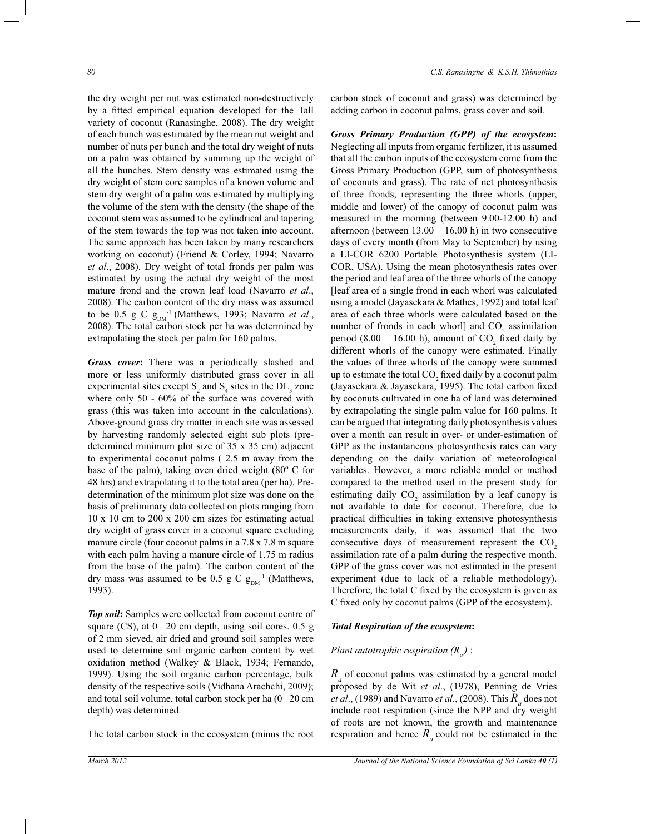the dry weight per nut was estimated non-destructively by a fitted empirical equation developed for the Tall variety of coconut (Ranasinghe, 2008). The dry weight of each bunch was estimated by the mean nut weight and number of nuts per bunch and the total dry weight of nuts on a palm was obtained by summing up the weight of all the bunches. Stem density was estimated using the dry weight of stem core samples of a known volume and stem dry weight of a palm was estimated by multiplying the volume of the stem with the density (the shape of the coconut stem was assumed to be cylindrical and tapering of the stem towards the top was not taken into account. The same approach has been taken by many researchers working on coconut) (Friend & Corley, 1994; Navarro *et al*., 2008). Dry weight of total fronds per palm was estimated by using the actual dry weight of the most mature frond and the crown leaf load (Navarro *et al*., 2008). The carbon content of the dry mass was assumed to be 0.5 g C  $g_{DM}^{-1}$  (Matthews, 1993; Navarro *et al.*, 2008). The total carbon stock per ha was determined by extrapolating the stock per palm for 160 palms.

*Grass cover***:** There was a periodically slashed and more or less uniformly distributed grass cover in all experimental sites except  $S_2$  and  $S_4$  sites in the  $DL_3$  zone where only 50 - 60% of the surface was covered with grass (this was taken into account in the calculations). Above-ground grass dry matter in each site was assessed by harvesting randomly selected eight sub plots (predetermined minimum plot size of 35 x 35 cm) adjacent to experimental coconut palms ( 2.5 m away from the base of the palm), taking oven dried weight (80º C for 48 hrs) and extrapolating it to the total area (per ha). Predetermination of the minimum plot size was done on the basis of preliminary data collected on plots ranging from 10 x 10 cm to 200 x 200 cm sizes for estimating actual dry weight of grass cover in a coconut square excluding manure circle (four coconut palms in a 7.8 x 7.8 m square with each palm having a manure circle of 1.75 m radius from the base of the palm). The carbon content of the dry mass was assumed to be 0.5 g C  $g_{DM}^{-1}$  (Matthews, 1993).

*Top soil***:** Samples were collected from coconut centre of square (CS), at 0 *–*20 cm depth, using soil cores. 0.5 g of 2 mm sieved, air dried and ground soil samples were used to determine soil organic carbon content by wet oxidation method (Walkey & Black, 1934; Fernando, 1999). Using the soil organic carbon percentage, bulk density of the respective soils (Vidhana Arachchi, 2009); and total soil volume, total carbon stock per ha (0 *–*20 cm depth) was determined.

The total carbon stock in the ecosystem (minus the root

carbon stock of coconut and grass) was determined by adding carbon in coconut palms, grass cover and soil.

*Gross Primary Production (GPP) of the ecosystem***:** Neglecting all inputs from organic fertilizer, it is assumed that all the carbon inputs of the ecosystem come from the Gross Primary Production (GPP, sum of photosynthesis of coconuts and grass). The rate of net photosynthesis of three fronds, representing the three whorls (upper, middle and lower) of the canopy of coconut palm was measured in the morning (between 9.00-12.00 h) and afternoon (between  $13.00 - 16.00$  h) in two consecutive days of every month (from May to September) by using a LI-COR 6200 Portable Photosynthesis system (LI-COR, USA). Using the mean photosynthesis rates over the period and leaf area of the three whorls of the canopy [leaf area of a single frond in each whorl was calculated using a model (Jayasekara & Mathes, 1992) and total leaf area of each three whorls were calculated based on the number of fronds in each whorl] and  $CO_2$  assimilation period (8.00 – 16.00 h), amount of  $CO_2$  fixed daily by different whorls of the canopy were estimated. Finally the values of three whorls of the canopy were summed up to estimate the total  $\mathrm{CO}_2$  fixed daily by a coconut palm (Jayasekara & Jayasekara, 1995). The total carbon fixed by coconuts cultivated in one ha of land was determined by extrapolating the single palm value for 160 palms. It can be argued that integrating daily photosynthesis values over a month can result in over- or under-estimation of GPP as the instantaneous photosynthesis rates can vary depending on the daily variation of meteorological variables. However, a more reliable model or method compared to the method used in the present study for estimating daily  $CO_2$  assimilation by a leaf canopy is not available to date for coconut. Therefore, due to practical difficulties in taking extensive photosynthesis measurements daily, it was assumed that the two consecutive days of measurement represent the  $CO<sub>2</sub>$ assimilation rate of a palm during the respective month. GPP of the grass cover was not estimated in the present experiment (due to lack of a reliable methodology). Therefore, the total C fixed by the ecosystem is given as C fixed only by coconut palms (GPP of the ecosystem).

#### *Total Respiration of the ecosystem***:**

# *Plant autotrophic respiration (R<sup>a</sup> )* :

 $R$ <sup> $a$ </sup> of coconut palms was estimated by a general model proposed by de Wit *et al*., (1978), Penning de Vries *et al*., (1989) and Navarro *et al*., (2008). This *R<sup>a</sup>* does not include root respiration (since the NPP and dry weight of roots are not known, the growth and maintenance respiration and hence  $R_a$  could not be estimated in the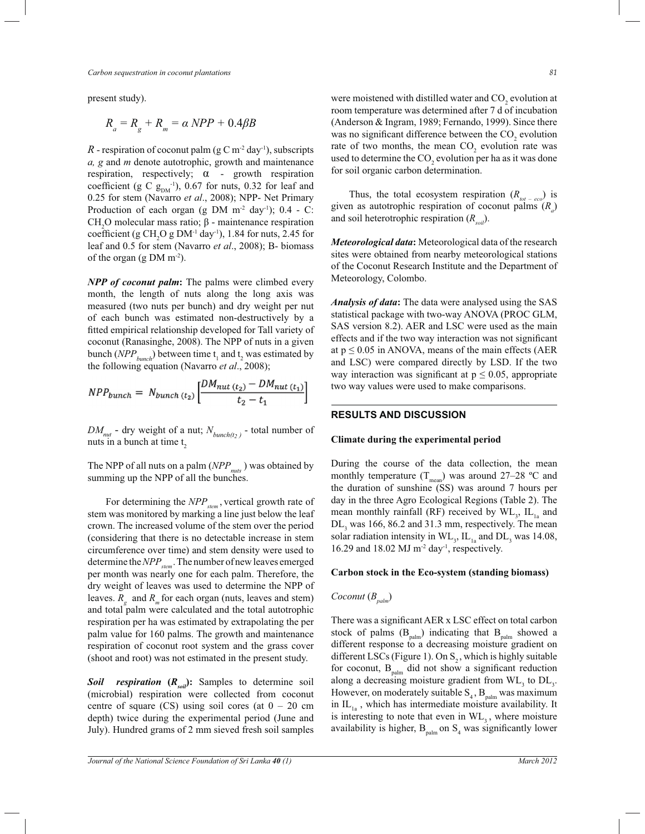*Carbon sequestration in coconut plantations 81*

present study).

$$
R_a = R_g + R_m = \alpha \, NPP + 0.4\beta B
$$

 $R$  - respiration of coconut palm (g C m<sup>-2</sup> day<sup>-1</sup>), subscripts *a, g* and *m* denote autotrophic, growth and maintenance respiration, respectively;  $\alpha$  - growth respiration coefficient (g C  $g_{DM}^{-1}$ ), 0.67 for nuts, 0.32 for leaf and 0.25 for stem (Navarro *et al*., 2008); NPP- Net Primary Production of each organ (g DM  $m<sup>-2</sup>$  day<sup>-1</sup>); 0.4 - C: CH<sub>2</sub>O molecular mass ratio;  $β$  - maintenance respiration coefficient (g CH<sub>2</sub>O g DM<sup>-1</sup> day<sup>-1</sup>), 1.84 for nuts, 2.45 for leaf and 0.5 for stem (Navarro *et al*., 2008); B- biomass of the organ (g DM  $m^{-2}$ ).

*NPP of coconut palm***:** The palms were climbed every month, the length of nuts along the long axis was measured (two nuts per bunch) and dry weight per nut of each bunch was estimated non-destructively by a fitted empirical relationship developed for Tall variety of coconut (Ranasinghe, 2008). The NPP of nuts in a given bunch  $(NPP_{bunch})$  between time  $t_1$  and  $t_2$  was estimated by the following equation (Navarro *et al*., 2008);

$$
NPP_{bunch} = N_{bunch\ (t_2)} \left[ \frac{DM_{nut\ (t_2)} - DM_{nut\ (t_1)}}{t_2 - t_1} \right]
$$

 $DM_{mut}$  - dry weight of a nut;  $N_{bunch(t_2)}$  - total number of nuts in a bunch at time  $t<sub>2</sub>$ 

The NPP of all nuts on a palm (*NPPnuts* ) was obtained by summing up the NPP of all the bunches.

For determining the *NPP*<sub>*stem*</sub>, vertical growth rate of stem was monitored by marking a line just below the leaf crown. The increased volume of the stem over the period (considering that there is no detectable increase in stem circumference over time) and stem density were used to determine the *NPPstem*  . The number of new leaves emerged per month was nearly one for each palm. Therefore, the dry weight of leaves was used to determine the NPP of leaves.  $R_g$  and  $R_m$  for each organ (nuts, leaves and stem) and total palm were calculated and the total autotrophic respiration per ha was estimated by extrapolating the per palm value for 160 palms. The growth and maintenance respiration of coconut root system and the grass cover (shoot and root) was not estimated in the present study.

*Soil respiration* **(***Rsoil***):** Samples to determine soil (microbial) respiration were collected from coconut centre of square (CS) using soil cores (at  $0 - 20$  cm depth) twice during the experimental period (June and July). Hundred grams of 2 mm sieved fresh soil samples

were moistened with distilled water and  $CO<sub>2</sub>$  evolution at room temperature was determined after 7 d of incubation (Anderson & Ingram, 1989; Fernando, 1999). Since there was no significant difference between the  $CO<sub>2</sub>$  evolution rate of two months, the mean  $CO_2$  evolution rate was used to determine the  $\mathrm{CO}_2$  evolution per ha as it was done for soil organic carbon determination.

Thus, the total ecosystem respiration  $(R_{tot - ecc})$  is given as autotrophic respiration of coconut palms (*R<sup>a</sup>* ) and soil heterotrophic respiration (*Rsoil*).

*Meteorological data***:** Meteorological data of the research sites were obtained from nearby meteorological stations of the Coconut Research Institute and the Department of Meteorology, Colombo.

*Analysis of data***:** The data were analysed using the SAS statistical package with two-way ANOVA (PROC GLM, SAS version 8.2). AER and LSC were used as the main effects and if the two way interaction was not significant at  $p \le 0.05$  in ANOVA, means of the main effects (AER and LSC) were compared directly by LSD. If the two way interaction was significant at  $p \le 0.05$ , appropriate two way values were used to make comparisons.

#### **RESULTS AND DISCUSSION**

#### **Climate during the experimental period**

During the course of the data collection, the mean monthly temperature (T<sub>mean</sub>) was around 27–28 °C and the duration of sunshine (SS) was around 7 hours per day in the three Agro Ecological Regions (Table 2). The mean monthly rainfall (RF) received by  $\text{WL}_3$ ,  $\text{IL}_{1a}$  and  $DL<sub>3</sub>$  was 166, 86.2 and 31.3 mm, respectively. The mean solar radiation intensity in  $\text{WL}_3$ ,  $\text{IL}_{1a}$  and  $\text{DL}_3$  was 14.08, 16.29 and 18.02 MJ  $m<sup>-2</sup>$  day<sup>-1</sup>, respectively.

#### **Carbon stock in the Eco-system (standing biomass)**

$$
Co\text{cont}\left(B_{\text{palm}}\right)
$$

There was a significant AER x LSC effect on total carbon stock of palms  $(B_{\text{palm}})$  indicating that  $B_{\text{palm}}$  showed a different response to a decreasing moisture gradient on different LSCs (Figure 1). On  $S_2$ , which is highly suitable for coconut,  $B_{palm}$  did not show a significant reduction along a decreasing moisture gradient from  $WL$ <sub>3</sub> to  $DL$ <sub>3</sub>. However, on moderately suitable  $S_4$ ,  $B_{palm}$  was maximum in  $IL_{1a}$ , which has intermediate moisture availability. It is interesting to note that even in  $\text{WL}_3$ , where moisture availability is higher,  $B_{palm}$  on  $S_4$  was significantly lower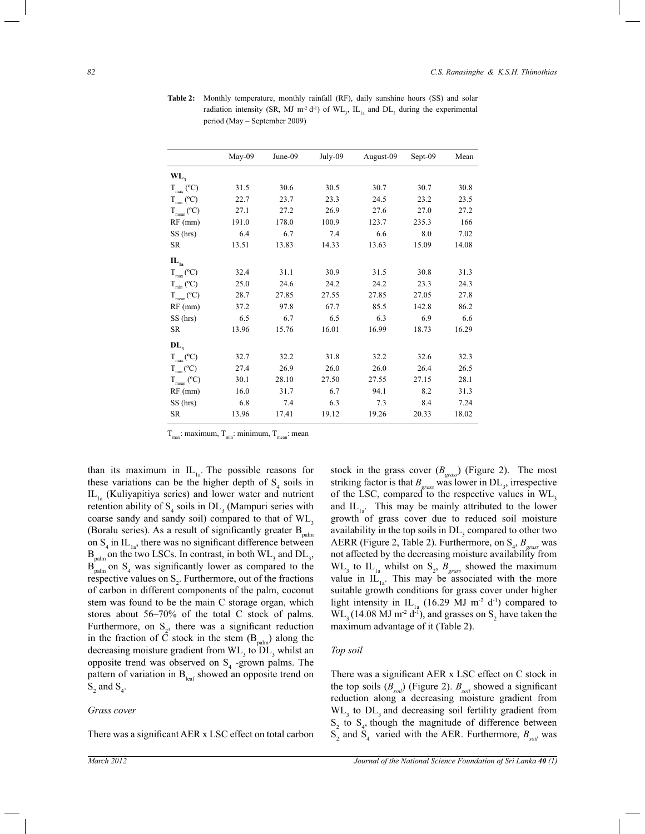|                             |        | June-09 |         |           |         | Mean  |
|-----------------------------|--------|---------|---------|-----------|---------|-------|
|                             | May-09 |         | July-09 | August-09 | Sept-09 |       |
| WL,                         |        |         |         |           |         |       |
| $T_{max}$ (°C)              | 31.5   | 30.6    | 30.5    | 30.7      | 30.7    | 30.8  |
| $T_{min}$ (°C)              | 22.7   | 23.7    | 23.3    | 24.5      | 23.2    | 23.5  |
| $T_{mean} (^{\circ}C)$      | 27.1   | 27.2    | 26.9    | 27.6      | 27.0    | 27.2  |
| $RF$ (mm)                   | 191.0  | 178.0   | 100.9   | 123.7     | 235.3   | 166   |
| SS (hrs)                    | 6.4    | 6.7     | 7.4     | 6.6       | 8.0     | 7.02  |
| <b>SR</b>                   | 13.51  | 13.83   | 14.33   | 13.63     | 15.09   | 14.08 |
| $\mathbf{IL}_{\mathbf{1a}}$ |        |         |         |           |         |       |
| $T_{max}$ (°C)              | 32.4   | 31.1    | 30.9    | 31.5      | 30.8    | 31.3  |
| $T_{min}$ (°C)              | 25.0   | 24.6    | 24.2    | 24.2      | 23.3    | 24.3  |
| $T_{mean} (^{\circ}C)$      | 28.7   | 27.85   | 27.55   | 27.85     | 27.05   | 27.8  |
| $RF$ (mm)                   | 37.2   | 97.8    | 67.7    | 85.5      | 142.8   | 86.2  |
| SS (hrs)                    | 6.5    | 6.7     | 6.5     | 6.3       | 6.9     | 6.6   |
| SR                          | 13.96  | 15.76   | 16.01   | 16.99     | 18.73   | 16.29 |
| $\mathbf{DL}_1$             |        |         |         |           |         |       |
| $T_{max}$ (°C)              | 32.7   | 32.2    | 31.8    | 32.2      | 32.6    | 32.3  |
| $T_{min}$ (°C)              | 27.4   | 26.9    | 26.0    | 26.0      | 26.4    | 26.5  |
| $T_{mean} (^{\circ}C)$      | 30.1   | 28.10   | 27.50   | 27.55     | 27.15   | 28.1  |
| $RF$ (mm)                   | 16.0   | 31.7    | 6.7     | 94.1      | 8.2     | 31.3  |
| SS (hrs)                    | 6.8    | 7.4     | 6.3     | 7.3       | 8.4     | 7.24  |
| SR                          | 13.96  | 17.41   | 19.12   | 19.26     | 20.33   | 18.02 |

**Table 2:** Monthly temperature, monthly rainfall (RF), daily sunshine hours (SS) and solar radiation intensity (SR, MJ m<sup>-2</sup> d<sup>-1</sup>) of  $\text{WL}_3$ ,  $\text{IL}_{1a}$  and  $\text{DL}_3$  during the experimental period (May – September 2009)

 $T_{\text{max}}$ : maximum,  $T_{\text{min}}$ : minimum,  $T_{\text{mean}}$ : mean

than its maximum in  $IL_{1a}$ . The possible reasons for these variations can be the higher depth of  $S_4$  soils in  $IL_{1a}$  (Kuliyapitiya series) and lower water and nutrient retention ability of  $S_4$  soils in  $DL_3$  (Mampuri series with coarse sandy and sandy soil) compared to that of  $\text{WL}_3$ (Boralu series). As a result of significantly greater  $B_{palm}$ on  $S_4$  in  $IL_{1a}$ , there was no significant difference between  $B_{\text{palm}}$  on the two LSCs. In contrast, in both  $WL_{3}$  and  $DL_{3}$ ,  $B_{\text{palm}}$  on  $S_4$  was significantly lower as compared to the respective values on  $S_2$ . Furthermore, out of the fractions of carbon in different components of the palm, coconut stem was found to be the main C storage organ, which stores about 56*–*70% of the total C stock of palms. Furthermore, on  $S_2$ , there was a significant reduction in the fraction of  $\tilde{C}$  stock in the stem  $(B_{\text{palm}})$  along the decreasing moisture gradient from  $WL$ <sub>3</sub> to  $DL$ <sub>3</sub> whilst an opposite trend was observed on  $S_4$  -grown palms. The pattern of variation in  $B_{\text{leaf}}$  showed an opposite trend on  $S_2$  and  $S_4$ .

#### *Grass cover*

There was a significant AER x LSC effect on total carbon

stock in the grass cover (*Bgrass* ) (Figure 2). The most striking factor is that  $B_{\text{grass}}$  was lower in  $DL_3$ , irrespective of the LSC, compared to the respective values in WL, and  $IL_{1a}$ . This may be mainly attributed to the lower growth of grass cover due to reduced soil moisture availability in the top soils in  $DL<sub>3</sub>$  compared to other two AERR (Figure 2, Table 2). Furthermore, on S<sub>4</sub>, B<sub>grass</sub> was not affected by the decreasing moisture availability from  $WL_{3}$  to  $IL_{1a}$  whilst on  $S_{2}$ ,  $B_{grass}$  showed the maximum value in  $IL_{1a}$ . This may be associated with the more suitable growth conditions for grass cover under higher light intensity in IL<sub>1a</sub> (16.29 MJ m<sup>-2</sup> d<sup>-1</sup>) compared to  $WL_{3}$ (14.08 MJ m<sup>-2</sup> d<sup>-1</sup>), and grasses on S<sub>2</sub> have taken the maximum advantage of it (Table 2).

#### *Top soil*

There was a significant AER x LSC effect on C stock in the top soils  $(B_{\text{solid}})$  (Figure 2).  $B_{\text{solid}}$  showed a significant reduction along a decreasing moisture gradient from  $WL$ <sub>3</sub> to  $DL$ <sub>3</sub> and decreasing soil fertility gradient from  $S_2$  to  $S_4$ , though the magnitude of difference between  $S_2$  and  $S_4$  varied with the AER. Furthermore,  $B_{\text{solid}}$  was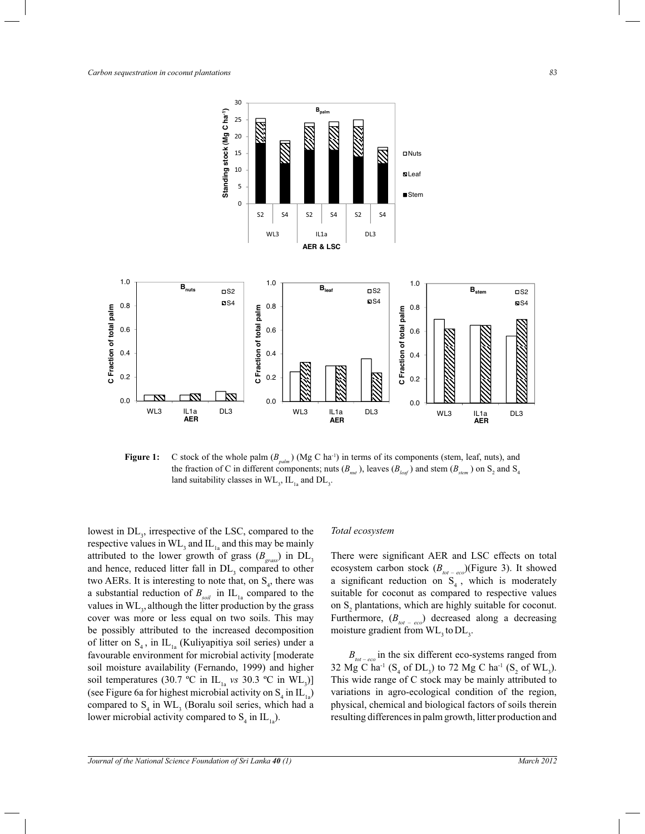

**Figure 1:** C stock of the whole palm  $(B_{pabm})$  (Mg C ha<sup>-1</sup>) in terms of its components (stem, leaf, nuts), and the fraction of C in different components; nuts  $(B_{nut})$ , leaves  $(B_{\text{leaf}})$  and stem  $(B_{\text{stem}})$  on S<sub>2</sub> and S<sub>4</sub> land suitability classes in  $\rm WL_{3}$ ,  $\rm IL_{1a}$  and  $\rm DL_{3}$ .

lowest in  $DL_3$ , irrespective of the LSC, compared to the respective values in  $\text{WL}_3$  and  $\text{IL}_{1a}$  and this may be mainly attributed to the lower growth of grass  $(B_{\text{grass}})$  in  $DL_3$ and hence, reduced litter fall in  $DL<sub>3</sub>$  compared to other two AERs. It is interesting to note that, on  $S_4$ , there was a substantial reduction of  $B_{\text{solid}}$  in  $IL_{1a}$  compared to the values in  $WL_3$ , although the litter production by the grass cover was more or less equal on two soils. This may be possibly attributed to the increased decomposition of litter on  $S_4$ , in  $IL_{1a}$  (Kuliyapitiya soil series) under a favourable environment for microbial activity [moderate soil moisture availability (Fernando, 1999) and higher soil temperatures (30.7 °C in  $IL_{1a}$  *vs* 30.3 °C in  $WL_{3}$ )] (see Figure 6a for highest microbial activity on  $S_4$  in  $IL_{1a}$ ) compared to  $S_4$  in  $WL_3$  (Boralu soil series, which had a lower microbial activity compared to  $S_4$  in  $IL_{1a}$ ).

#### *Total ecosystem*

There were significant AER and LSC effects on total ecosystem carbon stock (*Btot – eco* )(Figure 3). It showed a significant reduction on  $S_4$ , which is moderately suitable for coconut as compared to respective values on  $S_2$  plantations, which are highly suitable for coconut. Furthermore,  $(B_{tot - eco})$  decreased along a decreasing moisture gradient from  $\text{WL}_3$  to  $\text{DL}_3$ .

 $B_{tot-eco}$  in the six different eco-systems ranged from 32 Mg C ha<sup>-1</sup> (S<sub>4</sub> of DL<sub>3</sub>) to 72 Mg C ha<sup>-1</sup> (S<sub>2</sub> of WL<sub>3</sub>). This wide range of C stock may be mainly attributed to variations in agro-ecological condition of the region, physical, chemical and biological factors of soils therein resulting differences in palm growth, litter production and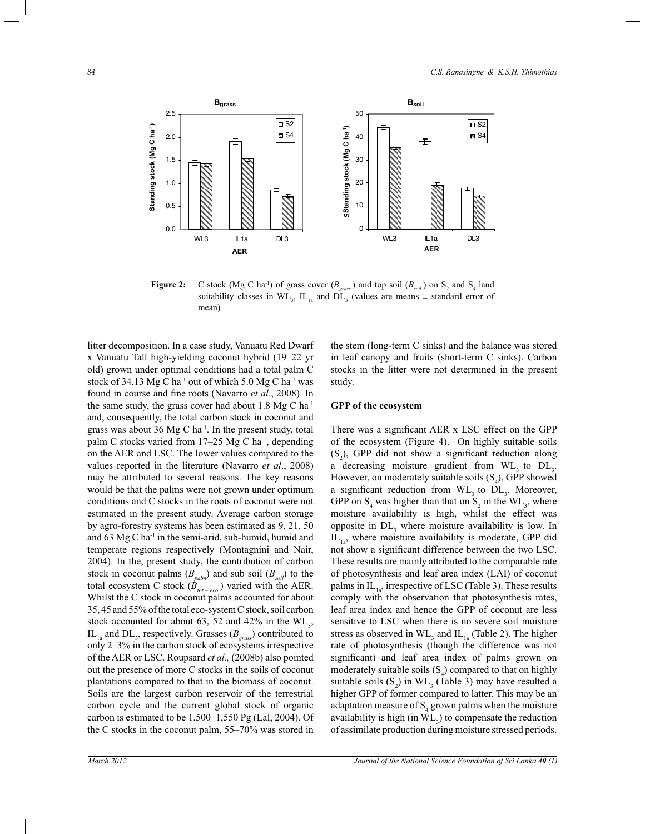

**Figure 2:** C stock (Mg C ha<sup>-1</sup>) of grass cover ( $B_{\text{grass}}$ ) and top soil ( $B_{\text{soil}}$ ) on S<sub>2</sub> and S<sub>4</sub> land suitability classes in  $WL_3$ ,  $IL_{1a}$  and  $DL_3$  (values are means  $\pm$  standard error of mean)

litter decomposition. In a case study, Vanuatu Red Dwarf x Vanuatu Tall high-yielding coconut hybrid (19*–*22 yr old) grown under optimal conditions had a total palm C stock of 34.13 Mg C ha<sup>-1</sup> out of which 5.0 Mg C ha<sup>-1</sup> was found in course and fine roots (Navarro *et al*., 2008). In the same study, the grass cover had about  $1.8 \text{ Mg C} \text{ ha}^{-1}$ and, consequently, the total carbon stock in coconut and grass was about 36 Mg C ha<sup>-1</sup>. In the present study, total palm C stocks varied from 17–25 Mg C ha<sup>-1</sup>, depending on the AER and LSC. The lower values compared to the values reported in the literature (Navarro *et al*., 2008) may be attributed to several reasons. The key reasons would be that the palms were not grown under optimum conditions and C stocks in the roots of coconut were not estimated in the present study. Average carbon storage by agro-forestry systems has been estimated as 9, 21, 50 and  $63$  Mg C ha<sup>-1</sup> in the semi-arid, sub-humid, humid and temperate regions respectively (Montagnini and Nair, 2004). In the, present study, the contribution of carbon stock in coconut palms (*Bpalm*) and sub soil (*Bsoil*) to the total ecosystem C stock  $(\dot{B}_{tot-eco})$  varied with the AER. Whilst the C stock in coconut palms accounted for about 35, 45 and 55% of the total eco-system C stock, soil carbon stock accounted for about 63, 52 and 42% in the  $\text{WL}_3$ , IL<sub>1a</sub> and DL<sub>3</sub>, respectively. Grasses ( $B_{\text{grass}}$ ) contributed to only 2*–*3% in the carbon stock of ecosystems irrespective of the AER or LSC. Roupsard *et al.,* (2008b) also pointed out the presence of more C stocks in the soils of coconut plantations compared to that in the biomass of coconut. Soils are the largest carbon reservoir of the terrestrial carbon cycle and the current global stock of organic carbon is estimated to be 1,500*–*1,550 Pg (Lal, 2004). Of the C stocks in the coconut palm, 55*–*70% was stored in

the stem (long-term C sinks) and the balance was stored in leaf canopy and fruits (short-term C sinks). Carbon stocks in the litter were not determined in the present study.

#### **GPP of the ecosystem**

There was a significant AER x LSC effect on the GPP of the ecosystem (Figure 4). On highly suitable soils  $(S_2)$ , GPP did not show a significant reduction along a decreasing moisture gradient from  $WL$ <sub>3</sub> to  $DL$ <sub>3</sub>. However, on moderately suitable soils  $(S_4)$ , GPP showed a significant reduction from  $WL$ <sub>3</sub> to  $DL$ <sub>3</sub>. Moreover, GPP on  $S_4$  was higher than that on  $S_2$  in the WL<sub>3</sub>, where moisture availability is high, whilst the effect was opposite in  $DL<sub>3</sub>$  where moisture availability is low. In  $IL<sub>1a</sub>$ , where moisture availability is moderate, GPP did not show a significant difference between the two LSC. These results are mainly attributed to the comparable rate of photosynthesis and leaf area index (LAI) of coconut palms in  $IL_{12}$ , irrespective of LSC (Table 3). These results comply with the observation that photosynthesis rates, leaf area index and hence the GPP of coconut are less sensitive to LSC when there is no severe soil moisture stress as observed in  $\text{WL}_3$  and  $\text{IL}_{1a}$  (Table 2). The higher rate of photosynthesis (though the difference was not significant) and leaf area index of palms grown on moderately suitable soils  $(S_4)$  compared to that on highly suitable soils  $(S_2)$  in  $WL_3$  (Table 3) may have resulted a higher GPP of former compared to latter. This may be an adaptation measure of  $S_4$  grown palms when the moisture availability is high  $(in WL<sub>3</sub>)$  to compensate the reduction of assimilate production during moisture stressed periods.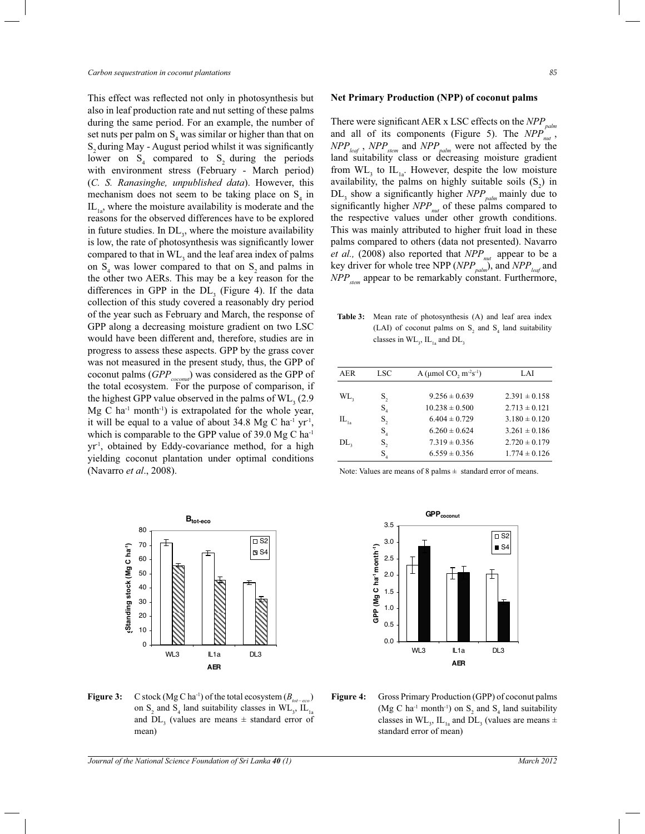This effect was reflected not only in photosynthesis but also in leaf production rate and nut setting of these palms during the same period. For an example, the number of set nuts per palm on  $S_4$  was similar or higher than that on S<sub>2</sub> during May - August period whilst it was significantly lower on  $S_4$  compared to  $S_2$  during the periods with environment stress (February - March period) (*C. S. Ranasinghe, unpublished data*). However, this mechanism does not seem to be taking place on  $S_4$  in  $IL<sub>1a</sub>$ , where the moisture availability is moderate and the reasons for the observed differences have to be explored in future studies. In  $DL<sub>3</sub>$ , where the moisture availability is low, the rate of photosynthesis was significantly lower compared to that in  $\text{WL}_3$  and the leaf area index of palms on  $S_4$  was lower compared to that on  $S_2$  and palms in the other two AERs. This may be a key reason for the differences in GPP in the  $DL<sub>3</sub>$  (Figure 4). If the data collection of this study covered a reasonably dry period of the year such as February and March, the response of GPP along a decreasing moisture gradient on two LSC would have been different and, therefore, studies are in progress to assess these aspects. GPP by the grass cover was not measured in the present study, thus, the GPP of coconut palms (*GPPcoconut* ) was considered as the GPP of the total ecosystem. For the purpose of comparison, if the highest GPP value observed in the palms of  $\rm WL_{3}$  (2.9)  $Mg$  C ha<sup>-1</sup> month<sup>-1</sup>) is extrapolated for the whole year, it will be equal to a value of about  $34.8 \text{ Mg C} \text{ ha}^{-1} \text{ yr}^{-1}$ , which is comparable to the GPP value of 39.0 Mg C ha<sup>-1</sup> yr-1, obtained by Eddy-covariance method, for a high yielding coconut plantation under optimal conditions (Navarro *et al*., 2008).



**Figure 3:** C stock (Mg C ha<sup>-1</sup>) of the total ecosystem ( $B_{tot-eco}$ ) on  $S_2$  and  $S_4$  land suitability classes in  $WL_3$ ,  $IL_{1a}$ and  $DL<sub>3</sub>$  (values are means  $\pm$  standard error of mean)

#### **Net Primary Production (NPP) of coconut palms**

There were significant AER x LSC effects on the *NPPpalm* and all of its components (Figure 5). The *NPP*<sub>*nut*</sub>, *NPPleaf* , *NPPstem* and *NPPpalm* were not affected by the land suitability class or decreasing moisture gradient from  $\text{WL}_3$  to  $\text{IL}_{1a}$ . However, despite the low moisture availability, the palms on highly suitable soils  $(S_2)$  in  $DL_3$  show a significantly higher *NPP*<sub>*palm*</sub> mainly due to significantly higher *NPPnut* of these palms compared to the respective values under other growth conditions. This was mainly attributed to higher fruit load in these palms compared to others (data not presented). Navarro *et al.,* (2008) also reported that *NPPnut*  appear to be a key driver for whole tree NPP (*NPPpalm*), and *NPPleaf* and *NPPstem* appear to be remarkably constant. Furthermore,

**Table 3:** Mean rate of photosynthesis (A) and leaf area index (LAI) of coconut palms on  $S_2$  and  $S_4$  land suitability classes in  $\rm WL_{3}$ ,  $\rm IL_{1a}$  and  $\rm DL_{3}$ 

| AER             | LSC                         | A ( $\mu$ mol CO <sub>2</sub> m <sup>-2</sup> s <sup>-1</sup> ) | LAI               |
|-----------------|-----------------------------|-----------------------------------------------------------------|-------------------|
|                 |                             |                                                                 |                   |
| WL,             | S,                          | $9.256 \pm 0.639$                                               | $2.391 \pm 0.158$ |
|                 | $S_{\scriptscriptstyle{A}}$ | $10.238 \pm 0.500$                                              | $2.713 \pm 0.121$ |
| $IL_{1a}$       | S,                          | $6.404 \pm 0.729$                                               | $3.180 \pm 0.120$ |
|                 | $S_{\scriptscriptstyle{A}}$ | $6.260 \pm 0.624$                                               | $3.261 \pm 0.186$ |
| DL <sub>3</sub> | S,                          | $7.319 \pm 0.356$                                               | $2.720 \pm 0.179$ |
|                 | $\mathrm{S}_{_{4}}$         | $6.559 \pm 0.356$                                               | $1.774 \pm 0.126$ |
|                 |                             |                                                                 |                   |

Note: Values are means of 8 palms  $\pm$  standard error of means.



**Figure 4:** Gross Primary Production (GPP) of coconut palms (Mg C ha<sup>-1</sup> month<sup>-1</sup>) on  $S_2$  and  $S_4$  land suitability classes in  $WL_3$ ,  $IL_{1a}$  and  $DL_3$  (values are means  $\pm$ standard error of mean)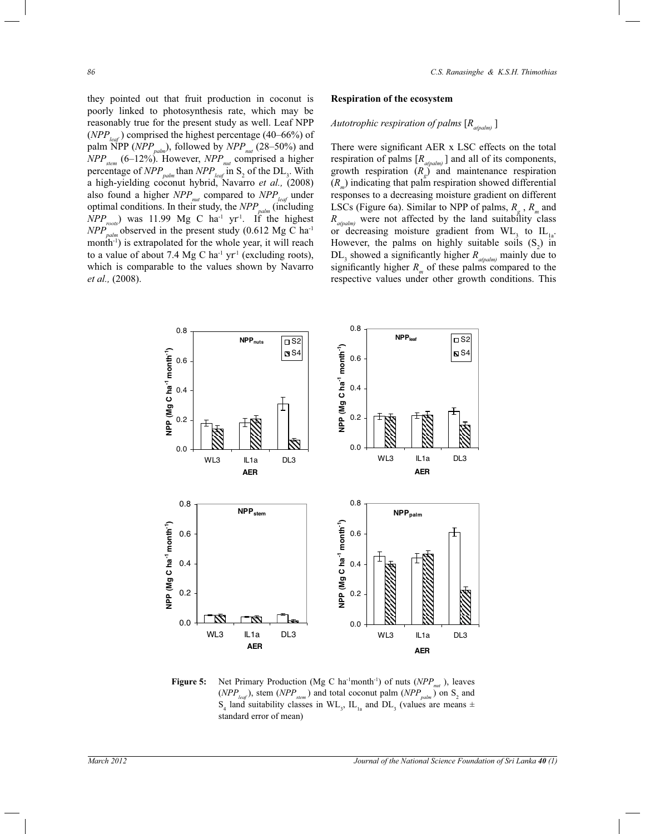they pointed out that fruit production in coconut is poorly linked to photosynthesis rate, which may be reasonably true for the present study as well. Leaf NPP (*NPPleaf* ) comprised the highest percentage (40*–*66%) of palm NPP (*NPPpalm*), followed by *NPPnut* (28*–*50%) and *NPPstem* (6*–*12%). However, *NPPnut* comprised a higher percentage of  $NPP_{\text{palm}}$  than  $NPP_{\text{leaf}}$  in  $S_2$  of the  $DL_3$ . With a high-yielding coconut hybrid, Navarro *et al.,* (2008) also found a higher *NPPnut* compared to *NPPleaf* under optimal conditions. In their study, the *NPPpalm* (including  $NPP_{\text{roots}}$  was 11.99 Mg C ha<sup>-1</sup> yr<sup>-1</sup>. If the highest  $NPP_{nolm}^{Dop}$  observed in the present study (0.612 Mg C ha<sup>-1</sup> month<sup>-1</sup>) is extrapolated for the whole year, it will reach to a value of about 7.4 Mg C ha<sup>-1</sup> yr<sup>-1</sup> (excluding roots), which is comparable to the values shown by Navarro *et al.,* (2008).

#### **Respiration of the ecosystem**

# *Autotrophic respiration of palms* [*Ra(palm)* ]

There were significant AER x LSC effects on the total respiration of palms [*Ra(palm)* ] and all of its components, growth respiration (*R<sup>g</sup>* ) and maintenance respiration  $(R_m)$  indicating that palm respiration showed differential responses to a decreasing moisture gradient on different LSCs (Figure 6a). Similar to NPP of palms,  $R_g$ ,  $R_m$  and  $R_{a(palm)}$  were not affected by the land suitability class or decreasing moisture gradient from  $WL$ <sub>3</sub> to  $IL$ <sub>1a</sub>. However, the palms on highly suitable soils  $(S_2)$  in  $DL_3$  showed a significantly higher  $R_{a(palm)}$  mainly due to significantly higher  $R_m$  of these palms compared to the respective values under other growth conditions. This



**Figure 5:** Net Primary Production (Mg C ha<sup>-1</sup>month<sup>-1</sup>) of nuts (*NPP<sub>nut</sub>*), leaves  $(NPP_{\text{leaf}})$ , stem  $(NPP_{\text{stem}})$  and total coconut palm  $(NPP_{\text{palm}})$  on S<sub>2</sub> and  $S_4$  land suitability classes in  $WL_3$ ,  $IL_{1a}$  and  $DL_3$  (values are means  $\pm$ standard error of mean)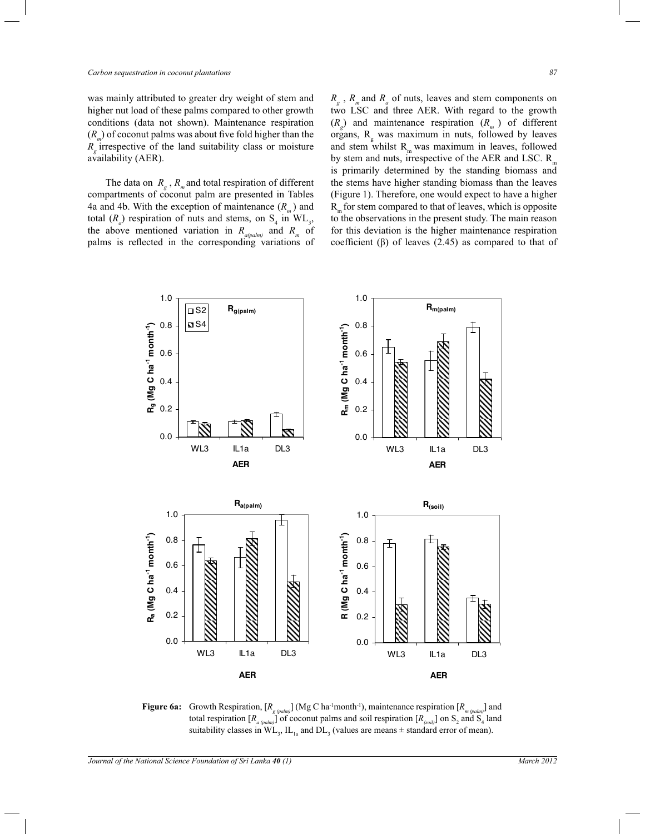was mainly attributed to greater dry weight of stem and higher nut load of these palms compared to other growth conditions (data not shown). Maintenance respiration (*R<sup>m</sup>* ) of coconut palms was about five fold higher than the *Rg*  irrespective of the land suitability class or moisture availability (AER).

The data on  $R_g$ ,  $R_m$  and total respiration of different compartments of coconut palm are presented in Tables 4a and 4b. With the exception of maintenance (*R<sup>m</sup>* ) and total  $(R_a)$  respiration of nuts and stems, on  $S_4$  in  $WL_3$ , the above mentioned variation in  $R_{a(palm)}$  and  $R_m$  of palms is reflected in the corresponding variations of

*Rg* , *R<sup>m</sup>* and *R<sup>a</sup>* of nuts, leaves and stem components on two LSC and three AER. With regard to the growth  $(R<sub>g</sub>)$  and maintenance respiration  $(R<sub>m</sub>)$  of different organs,  $R_{g}$  was maximum in nuts, followed by leaves and stem whilst  $R_m$  was maximum in leaves, followed by stem and nuts, irrespective of the AER and LSC.  $R_{m}$ is primarily determined by the standing biomass and the stems have higher standing biomass than the leaves (Figure 1). Therefore, one would expect to have a higher  $R_{m}$  for stem compared to that of leaves, which is opposite to the observations in the present study. The main reason for this deviation is the higher maintenance respiration coefficient (β) of leaves  $(2.45)$  as compared to that of



**Figure 6a:** Growth Respiration,  $[R_{g (palm)]}$  (Mg C ha<sup>-1</sup>month<sup>-1</sup>), maintenance respiration  $[R_{m (palm)]}$  and total respiration  $[R_{a (palm)}]$  of coconut palms and soil respiration  $[R_{(soil)}]$  on  $S_2$  and  $S_4$  land suitability classes in  $WL_3$ ,  $IL_{1a}$  and  $DL_3$  (values are means  $\pm$  standard error of mean).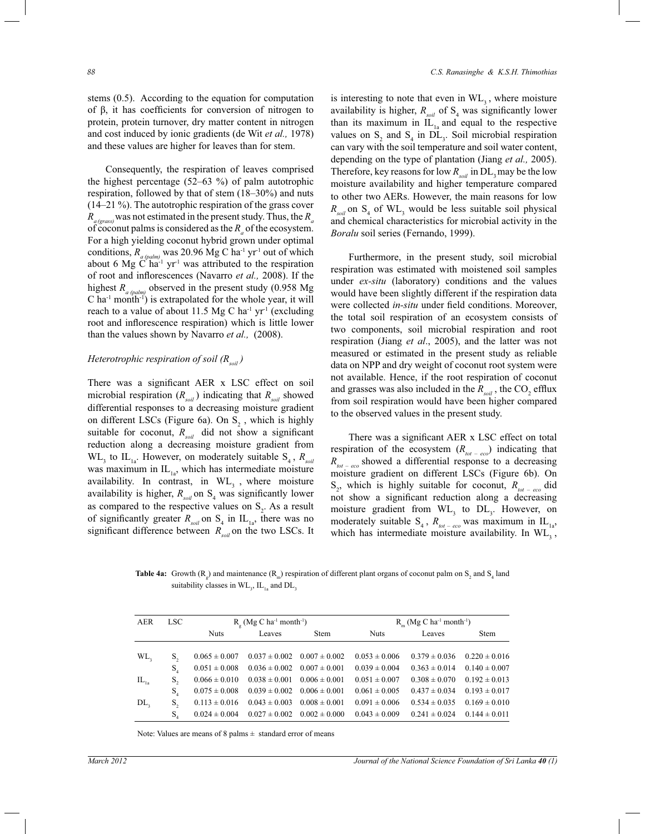stems (0.5). According to the equation for computation of β, it has coefficients for conversion of nitrogen to protein, protein turnover, dry matter content in nitrogen and cost induced by ionic gradients (de Wit *et al.,* 1978) and these values are higher for leaves than for stem.

 Consequently, the respiration of leaves comprised the highest percentage (52*–*63 %) of palm autotrophic respiration, followed by that of stem (18*–*30%) and nuts (14*–*21 %). The autotrophic respiration of the grass cover  $R_{\text{a (eras)}}$  was not estimated in the present study. Thus, the  $R_{\text{a}}$ of coconut palms is considered as the  $R_a$  of the ecosystem. For a high yielding coconut hybrid grown under optimal conditions,  $R_{a (palm)}$  was 20.96 Mg C ha<sup>-1</sup> yr<sup>-1</sup> out of which about 6 Mg  $\widetilde{C}$  ha<sup>-1</sup> yr<sup>-1</sup> was attributed to the respiration of root and inflorescences (Navarro *et al.,* 2008). If the highest *R<sub>a (palm*)</sub> observed in the present study (0.958 Mg)  $C$  ha<sup>-1</sup> month<sup>-1</sup>) is extrapolated for the whole year, it will reach to a value of about 11.5 Mg C ha<sup>-1</sup> yr<sup>1</sup> (excluding root and inflorescence respiration) which is little lower than the values shown by Navarro *et al.,* (2008).

# *Heterotrophic respiration of soil (Rsoil )*

There was a significant AER x LSC effect on soil microbial respiration  $(R_{sol})$  indicating that  $R_{sol}$  showed differential responses to a decreasing moisture gradient on different LSCs (Figure 6a). On  $S_2$ , which is highly suitable for coconut,  $R_{\text{sol}}$  did not show a significant reduction along a decreasing moisture gradient from WL<sub>3</sub> to IL<sub>1a</sub>. However, on moderately suitable S<sub>4</sub>,  $R_{\text{solid}}$ was maximum in  $IL_{1a}$ , which has intermediate moisture availability. In contrast, in  $WL<sub>3</sub>$ , where moisture availability is higher,  $R_{\text{solid}}$  on  $S_4$  was significantly lower as compared to the respective values on  $S_2$ . As a result of significantly greater  $R_{\text{sol}}$  on  $S_4$  in  $IL_{1a}$ , there was no significant difference between *Rsoil* on the two LSCs. It

is interesting to note that even in  $WL<sub>3</sub>$ , where moisture availability is higher,  $R_{\text{solid}}$  of  $S_4$  was significantly lower than its maximum in  $\tilde{IL}_{1a}$  and equal to the respective values on  $S_2$  and  $S_4$  in  $DL_3$ . Soil microbial respiration can vary with the soil temperature and soil water content, depending on the type of plantation (Jiang *et al.,* 2005). Therefore, key reasons for low  $R_{\text{sol}}$  in DL<sub>3</sub> may be the low moisture availability and higher temperature compared to other two AERs. However, the main reasons for low  $R_{\text{solid}}$  on S<sub>4</sub> of WL<sub>3</sub> would be less suitable soil physical and chemical characteristics for microbial activity in the *Boralu* soil series (Fernando, 1999).

 Furthermore, in the present study, soil microbial respiration was estimated with moistened soil samples under *ex-situ* (laboratory) conditions and the values would have been slightly different if the respiration data were collected *in-situ* under field conditions. Moreover, the total soil respiration of an ecosystem consists of two components, soil microbial respiration and root respiration (Jiang *et al*., 2005), and the latter was not measured or estimated in the present study as reliable data on NPP and dry weight of coconut root system were not available. Hence, if the root respiration of coconut and grasses was also included in the  $R_{\text{sol}}$ , the CO<sub>2</sub> efflux from soil respiration would have been higher compared to the observed values in the present study.

 There was a significant AER x LSC effect on total respiration of the ecosystem  $(R_{tot-eco})$  indicating that *Rtot – eco*  showed a differential response to a decreasing moisture gradient on different LSCs (Figure 6b). On  $S_2$ , which is highly suitable for coconut,  $R_{tot - ecc}$  did not show a significant reduction along a decreasing moisture gradient from  $WL<sub>3</sub>$  to  $DL<sub>3</sub>$ . However, on moderately suitable  $S_4$ ,  $R_{tot-eco}$  was maximum in  $IL_{1a}$ , which has intermediate moisture availability. In  $WL$ <sub>2</sub>,

**Table 4a:** Growth  $(R_g)$  and maintenance  $(R_m)$  respiration of different plant organs of coconut palm on  $S_2$  and  $S_4$  land suitability classes in  $\rm WL_{3}$ ,  $\rm IL_{1a}$  and  $\rm DL_{3}$ 

| AER<br>LSC - |    |                   | $R_a$ (Mg C ha <sup>-1</sup> month <sup>-1</sup> ) |                                                                         |                                                       | $R_{m}$ (Mg C ha <sup>-1</sup> month <sup>-1</sup> ) |             |
|--------------|----|-------------------|----------------------------------------------------|-------------------------------------------------------------------------|-------------------------------------------------------|------------------------------------------------------|-------------|
|              |    | <b>Nuts</b>       | Leaves                                             | <b>Stem</b>                                                             | <b>Nuts</b>                                           | Leaves                                               | <b>Stem</b> |
|              |    |                   |                                                    |                                                                         |                                                       |                                                      |             |
| WL,          | S. | $0.065 \pm 0.007$ |                                                    |                                                                         | $0.037 \pm 0.002$ $0.007 \pm 0.002$ $0.053 \pm 0.006$ | $0.379 \pm 0.036$ $0.220 \pm 0.016$                  |             |
|              | S. |                   |                                                    | $0.051 \pm 0.008$ $0.036 \pm 0.002$ $0.007 \pm 0.001$ $0.039 \pm 0.004$ |                                                       | $0.363 \pm 0.014$ $0.140 \pm 0.007$                  |             |
| $IL_{1a}$    | S, | $0.066 \pm 0.010$ |                                                    | $0.038 \pm 0.001$ $0.006 \pm 0.001$ $0.051 \pm 0.007$                   |                                                       | $0.308 \pm 0.070$ $0.192 \pm 0.013$                  |             |
|              | S. | $0.075 \pm 0.008$ |                                                    | $0.039 \pm 0.002$ $0.006 \pm 0.001$ $0.061 \pm 0.005$                   |                                                       | $0.437 \pm 0.034$ $0.193 \pm 0.017$                  |             |
| DL,          | S. | $0.113 \pm 0.016$ |                                                    | $0.043 \pm 0.003$ $0.008 \pm 0.001$ $0.091 \pm 0.006$                   |                                                       | $0.534 \pm 0.035$ $0.169 \pm 0.010$                  |             |
|              | S. |                   |                                                    | $0.024 \pm 0.004$ $0.027 \pm 0.002$ $0.002 \pm 0.000$ $0.043 \pm 0.009$ |                                                       | $0.241 \pm 0.024$ $0.144 \pm 0.011$                  |             |
|              |    |                   |                                                    |                                                                         |                                                       |                                                      |             |

Note: Values are means of 8 palms ± standard error of means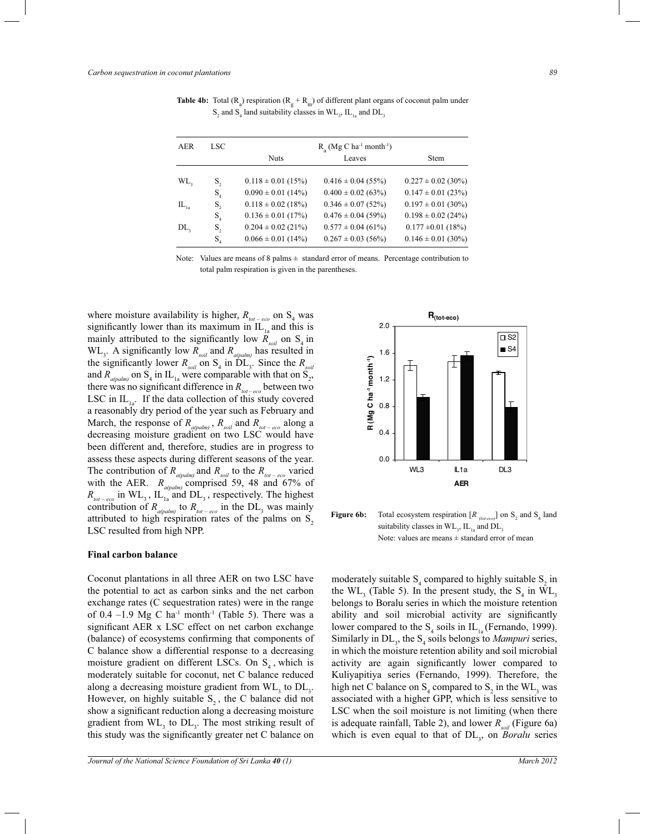| AER                                                   | LSC            | $R_a$ (Mg C ha <sup>-1</sup> month <sup>-1</sup> ) |                        |                        |  |  |
|-------------------------------------------------------|----------------|----------------------------------------------------|------------------------|------------------------|--|--|
|                                                       |                | <b>Nuts</b>                                        | Leaves                 | <b>Stem</b>            |  |  |
|                                                       |                |                                                    |                        |                        |  |  |
| WL,                                                   | S,             | $0.118 \pm 0.01$ (15%)                             | $0.416 \pm 0.04$ (55%) | $0.227 \pm 0.02$ (30%) |  |  |
|                                                       | S <sub>4</sub> | $0.090 \pm 0.01$ (14%)                             | $0.400 \pm 0.02$ (63%) | $0.147 \pm 0.01$ (23%) |  |  |
| $\mathop{\rm IL}\nolimits_{\mathop{\rm Ia}\nolimits}$ | S,             | $0.118 \pm 0.02$ (18%)                             | $0.346 \pm 0.07$ (52%) | $0.197 \pm 0.01$ (30%) |  |  |
|                                                       | S <sub>4</sub> | $0.136 \pm 0.01$ (17%)                             | $0.476 \pm 0.04$ (59%) | $0.198 \pm 0.02$ (24%) |  |  |
| DL,                                                   | $S_{2}$        | $0.204 \pm 0.02$ (21%)                             | $0.577 \pm 0.04$ (61%) | $0.177 \pm 0.01$ (18%) |  |  |
|                                                       | S <sub>4</sub> | $0.066 \pm 0.01$ (14%)                             | $0.267 \pm 0.03$ (56%) | $0.146 \pm 0.01$ (30%) |  |  |
|                                                       |                |                                                    |                        |                        |  |  |

**Table 4b:** Total  $(R_g)$  respiration  $(R_g + R_m)$  of different plant organs of coconut palm under  $S_2$  and  $S_4$  land suitability classes in  $WL_3$ ,  $IL_{1a}$  and  $DL_3$ 

Note: Values are means of 8 palms  $\pm$  standard error of means. Percentage contribution to total palm respiration is given in the parentheses.

where moisture availability is higher,  $R_{tot-eco}$  on  $S_4$  was significantly lower than its maximum in  $IL<sub>1a</sub>$  and this is mainly attributed to the significantly low  $R_{sol}$  on  $S_4$  in  $WL_{3}$ . A significantly low  $R_{\text{solid}}$  and  $R_{\text{a(palm)}}$  has resulted in the significantly lower  $R_{\text{solid}}$  on  $S_4$  in  $\text{DL}_3$ . Since the  $R_{\text{solid}}$ and  $R_{a(palm)}$  on  $S_4$  in IL<sub>1a</sub> were comparable with that on  $S_2$ , there was no significant difference in *Rtot – eco* between two LSC in  $IL_{1a}$ . If the data collection of this study covered a reasonably dry period of the year such as February and March, the response of  $R_{a(palm)}$ ,  $R_{soil}$  and  $R_{tot-eco}$  along a decreasing moisture gradient on two LSC would have been different and, therefore, studies are in progress to assess these aspects during different seasons of the year. The contribution of  $R_{a(palm)}$  and  $R_{soil}$  to the  $R_{tot-eco}$  varied with the AER.  $R_{a(palm)}$  comprised 59, 48 and 67% of  $R_{tot-eco}$  in WL<sub>3</sub>, IL<sub>1a</sub> and DL<sub>3</sub>, respectively. The highest contribution of  $R_{a(palm)}$  to  $R_{tot-eco}$  in the DL<sub>3</sub> was mainly attributed to high respiration rates of the palms on  $S_2$ LSC resulted from high NPP.

#### **Final carbon balance**

Coconut plantations in all three AER on two LSC have the potential to act as carbon sinks and the net carbon exchange rates (C sequestration rates) were in the range of 0.4 –1.9 Mg C ha<sup>-1</sup> month<sup>-1</sup> (Table 5). There was a significant AER x LSC effect on net carbon exchange (balance) of ecosystems confirming that components of C balance show a differential response to a decreasing moisture gradient on different LSCs. On  $S<sub>4</sub>$ , which is moderately suitable for coconut, net C balance reduced along a decreasing moisture gradient from  $WL$ <sub>3</sub> to  $DL$ <sub>3</sub>. However, on highly suitable  $S_2$ , the C balance did not show a significant reduction along a decreasing moisture gradient from  $WL$ <sub>3</sub> to  $DL$ <sub>3</sub>. The most striking result of this study was the significantly greater net C balance on



**Figure 6b:** Total ecosystem respiration  $[R_{\text{(tot-eco)}}]$  on  $S_2$  and  $S_4$  land suitability classes in  $\rm WL_{3}$ ,  $\rm IL_{1a}$  and  $\rm DL_{3}$ Note: values are means  $\pm$  standard error of mean

moderately suitable  $S_4$  compared to highly suitable  $S_2$  in the  $WL_{3}$  (Table 5). In the present study, the  $S_{4}$  in  $WL_{3}$ belongs to Boralu series in which the moisture retention ability and soil microbial activity are significantly lower compared to the  $S_4$  soils in  $IL_{1a}$  (Fernando, 1999). Similarly in  $DL_3$ , the  $S_4$  soils belongs to *Mampuri* series, in which the moisture retention ability and soil microbial activity are again significantly lower compared to Kuliyapitiya series (Fernando, 1999). Therefore, the high net C balance on  $S_4$  compared to  $S_2$  in the  $WL_3$  was associated with a higher GPP, which is less sensitive to LSC when the soil moisture is not limiting (when there is adequate rainfall, Table 2), and lower  $R_{\text{sol}}$  (Figure 6a) which is even equal to that of  $DL_3$ , on *Boralu* series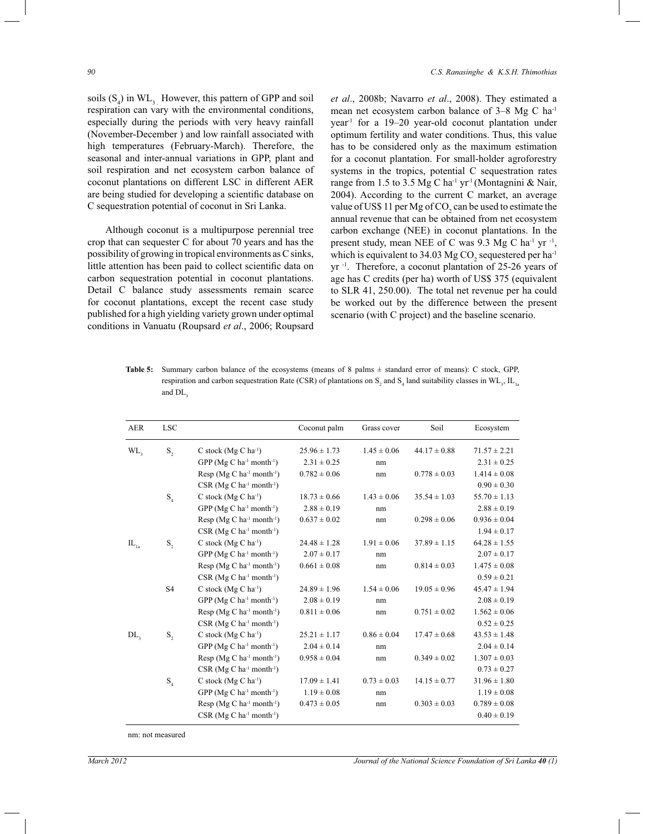*90 C.S. Ranasinghe & K.S.H. Thimothias*

soils  $(S_4)$  in  $WL_3$ . However, this pattern of GPP and soil respiration can vary with the environmental conditions, especially during the periods with very heavy rainfall (November-December ) and low rainfall associated with high temperatures (February-March). Therefore, the seasonal and inter-annual variations in GPP, plant and soil respiration and net ecosystem carbon balance of coconut plantations on different LSC in different AER are being studied for developing a scientific database on C sequestration potential of coconut in Sri Lanka.

 Although coconut is a multipurpose perennial tree crop that can sequester C for about 70 years and has the possibility of growing in tropical environments as C sinks, little attention has been paid to collect scientific data on carbon sequestration potential in coconut plantations. Detail C balance study assessments remain scarce for coconut plantations, except the recent case study published for a high yielding variety grown under optimal conditions in Vanuatu (Roupsard *et al*., 2006; Roupsard *et al*., 2008b; Navarro *et al*., 2008). They estimated a mean net ecosystem carbon balance of 3*–*8 Mg C ha-1 year-1 for a 19*–*20 year-old coconut plantation under optimum fertility and water conditions. Thus, this value has to be considered only as the maximum estimation for a coconut plantation. For small-holder agroforestry systems in the tropics, potential C sequestration rates range from 1.5 to 3.5 Mg C ha<sup>-1</sup> yr<sup>-1</sup> (Montagnini & Nair, 2004). According to the current C market, an average value of US\$ 11 per Mg of  $CO<sub>2</sub>$  can be used to estimate the annual revenue that can be obtained from net ecosystem carbon exchange (NEE) in coconut plantations. In the present study, mean NEE of C was  $9.3 \text{ Mg C}$  ha<sup>-1</sup> yr<sup>-1</sup>, which is equivalent to 34.03 Mg CO<sub>2</sub> sequestered per ha<sup>-1</sup> yr<sup>-1</sup>. Therefore, a coconut plantation of 25-26 years of age has C credits (per ha) worth of US\$ 375 (equivalent to SLR 41, 250.00). The total net revenue per ha could be worked out by the difference between the present scenario (with C project) and the baseline scenario.

**Table 5:** Summary carbon balance of the ecosystems (means of 8 palms ± standard error of means): C stock, GPP, respiration and carbon sequestration Rate (CSR) of plantations on  $S_2$  and  $S_4$  land suitability classes in WL<sub>3</sub>, IL<sub>1a</sub> and DL,

| <b>AER</b>                  | <b>LSC</b>                 |                                                      | Coconut palm     | Grass cover     | Soil             | Ecosystem        |
|-----------------------------|----------------------------|------------------------------------------------------|------------------|-----------------|------------------|------------------|
| WL,                         | $\mathbf{S}_2$             | C stock $(Mg C ha-1)$                                | $25.96 \pm 1.73$ | $1.45 \pm 0.06$ | $44.17 \pm 0.88$ | $71.57 \pm 2.21$ |
|                             |                            | GPP ( $Mg C$ ha <sup>-1</sup> month <sup>-1</sup> )  | $2.31 \pm 0.25$  | nm              |                  | $2.31 \pm 0.25$  |
|                             |                            | Resp $(Mg C ha^{-1} month^{-1})$                     | $0.782 \pm 0.06$ | nm              | $0.778 \pm 0.03$ | $1.414 \pm 0.08$ |
|                             |                            | $CSR$ (Mg C ha <sup>-1</sup> month <sup>-1</sup> )   |                  |                 |                  | $0.90 \pm 0.30$  |
|                             | $\mathrm{S}_\mathrm{_{4}}$ | C stock $(Mg C ha^{-1})$                             | $18.73 \pm 0.66$ | $1.43 \pm 0.06$ | $35.54 \pm 1.03$ | $55.70 \pm 1.13$ |
|                             |                            | GPP ( $Mg C$ ha <sup>-1</sup> month <sup>-1</sup> )  | $2.88 \pm 0.19$  | nm              |                  | $2.88 \pm 0.19$  |
|                             |                            | Resp ( $Mg C$ ha <sup>-1</sup> month <sup>-1</sup> ) | $0.637 \pm 0.02$ | nm              | $0.298 \pm 0.06$ | $0.936 \pm 0.04$ |
|                             |                            | $CSR$ (Mg C ha <sup>-1</sup> month <sup>-1</sup> )   |                  |                 |                  | $1.94 \pm 0.17$  |
| $\mathrm{IL}_{\mathrm{1a}}$ | $\mathbf{S}_2$             | C stock $(Mg C ha^{-1})$                             | $24.48 \pm 1.28$ | $1.91 \pm 0.06$ | $37.89 \pm 1.15$ | $64.28 \pm 1.55$ |
|                             |                            | GPP ( $Mg C$ ha <sup>-1</sup> month <sup>-1</sup> )  | $2.07 \pm 0.17$  | nm              |                  | $2.07 \pm 0.17$  |
|                             |                            | Resp $(Mg C ha^{-1} month^{-1})$                     | $0.661 \pm 0.08$ | nm              | $0.814 \pm 0.03$ | $1.475 \pm 0.08$ |
|                             |                            | $CSR$ (Mg C ha <sup>-1</sup> month <sup>-1</sup> )   |                  |                 |                  | $0.59 \pm 0.21$  |
|                             | S <sub>4</sub>             | C stock $(Mg C ha^{-1})$                             | $24.89 \pm 1.96$ | $1.54 \pm 0.06$ | $19.05 \pm 0.96$ | $45.47 \pm 1.94$ |
|                             |                            | GPP ( $Mg C$ ha <sup>-1</sup> month <sup>-1</sup> )  | $2.08 \pm 0.19$  | nm              |                  | $2.08 \pm 0.19$  |
|                             |                            | Resp ( $Mg C$ ha <sup>-1</sup> month <sup>-1</sup> ) | $0.811 \pm 0.06$ | nm              | $0.751 \pm 0.02$ | $1.562 \pm 0.06$ |
|                             |                            | $CSR$ (Mg C ha <sup>-1</sup> month <sup>-1</sup> )   |                  |                 |                  | $0.52 \pm 0.25$  |
| DL <sub>3</sub>             | $S_{2}$                    | C stock $(Mg C ha^{-1})$                             | $25.21 \pm 1.17$ | $0.86 \pm 0.04$ | $17.47 \pm 0.68$ | $43.53 \pm 1.48$ |
|                             |                            | GPP ( $Mg C$ ha <sup>-1</sup> month <sup>-1</sup> )  | $2.04 \pm 0.14$  | nm              |                  | $2.04 \pm 0.14$  |
|                             |                            | Resp ( $Mg C$ ha <sup>-1</sup> month <sup>-1</sup> ) | $0.958 \pm 0.04$ | nm              | $0.349 \pm 0.02$ | $1.307 \pm 0.03$ |
|                             |                            | $CSR$ (Mg C ha <sup>-1</sup> month <sup>-1</sup> )   |                  |                 |                  | $0.73 \pm 0.27$  |
|                             | $\mathrm{S}_\mathrm{_{4}}$ | C stock $(Mg C ha^{-1})$                             | $17.09 \pm 1.41$ | $0.73 \pm 0.03$ | $14.15 \pm 0.77$ | $31.96 \pm 1.80$ |
|                             |                            | GPP ( $Mg C$ ha <sup>-1</sup> month <sup>-1</sup> )  | $1.19 \pm 0.08$  | nm              |                  | $1.19 \pm 0.08$  |
|                             |                            | Resp (Mg C ha <sup>-1</sup> month <sup>-1</sup> )    | $0.473 \pm 0.05$ | nm              | $0.303 \pm 0.03$ | $0.789 \pm 0.08$ |
|                             |                            | $CSR$ (Mg C ha <sup>-1</sup> month <sup>-1</sup> )   |                  |                 |                  | $0.40 \pm 0.19$  |

nm: not measured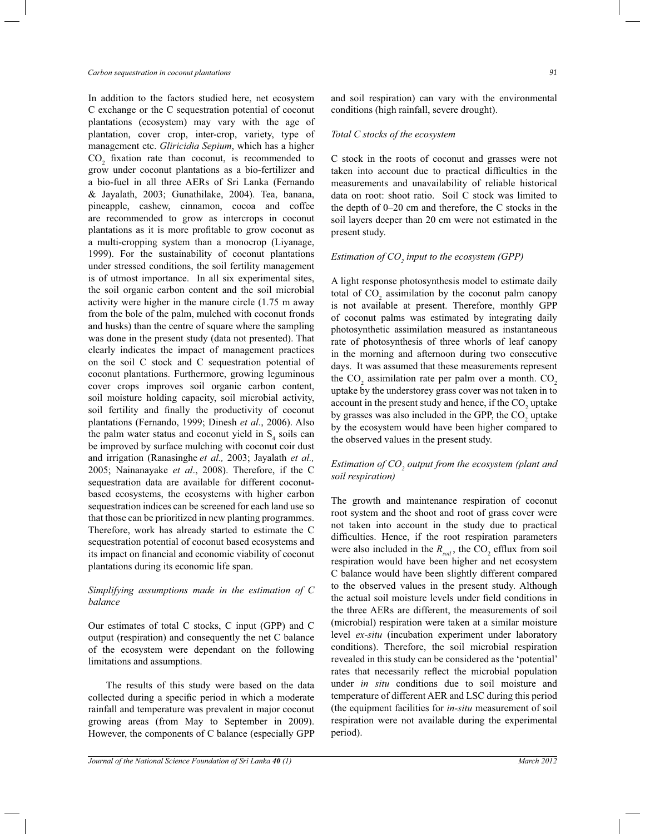In addition to the factors studied here, net ecosystem C exchange or the C sequestration potential of coconut plantations (ecosystem) may vary with the age of plantation, cover crop, inter-crop, variety, type of management etc. *Gliricidia Sepium*, which has a higher  $CO<sub>2</sub>$  fixation rate than coconut, is recommended to grow under coconut plantations as a bio-fertilizer and a bio-fuel in all three AERs of Sri Lanka (Fernando & Jayalath, 2003; Gunathilake, 2004). Tea, banana, pineapple, cashew, cinnamon, cocoa and coffee are recommended to grow as intercrops in coconut plantations as it is more profitable to grow coconut as a multi-cropping system than a monocrop (Liyanage, 1999). For the sustainability of coconut plantations under stressed conditions, the soil fertility management is of utmost importance. In all six experimental sites, the soil organic carbon content and the soil microbial activity were higher in the manure circle (1.75 m away from the bole of the palm, mulched with coconut fronds and husks) than the centre of square where the sampling was done in the present study (data not presented). That clearly indicates the impact of management practices on the soil C stock and C sequestration potential of coconut plantations. Furthermore, growing leguminous cover crops improves soil organic carbon content, soil moisture holding capacity, soil microbial activity, soil fertility and finally the productivity of coconut plantations (Fernando, 1999; Dinesh *et al*., 2006). Also the palm water status and coconut yield in  $S<sub>4</sub>$  soils can be improved by surface mulching with coconut coir dust and irrigation (Ranasinghe *et al.,* 2003; Jayalath *et al.,* 2005; Nainanayake *et al*., 2008). Therefore, if the C sequestration data are available for different coconutbased ecosystems, the ecosystems with higher carbon sequestration indices can be screened for each land use so that those can be prioritized in new planting programmes. Therefore, work has already started to estimate the C sequestration potential of coconut based ecosystems and its impact on financial and economic viability of coconut plantations during its economic life span.

### *Simplifying assumptions made in the estimation of C balance*

Our estimates of total C stocks, C input (GPP) and C output (respiration) and consequently the net C balance of the ecosystem were dependant on the following limitations and assumptions.

 The results of this study were based on the data collected during a specific period in which a moderate rainfall and temperature was prevalent in major coconut growing areas (from May to September in 2009). However, the components of C balance (especially GPP and soil respiration) can vary with the environmental conditions (high rainfall, severe drought).

#### *Total C stocks of the ecosystem*

C stock in the roots of coconut and grasses were not taken into account due to practical difficulties in the measurements and unavailability of reliable historical data on root: shoot ratio. Soil C stock was limited to the depth of 0*–*20 cm and therefore, the C stocks in the soil layers deeper than 20 cm were not estimated in the present study.

# *Estimation of CO<sup>2</sup> input to the ecosystem (GPP)*

A light response photosynthesis model to estimate daily total of  $CO_2$  assimilation by the coconut palm canopy is not available at present. Therefore, monthly GPP of coconut palms was estimated by integrating daily photosynthetic assimilation measured as instantaneous rate of photosynthesis of three whorls of leaf canopy in the morning and afternoon during two consecutive days. It was assumed that these measurements represent the  $CO_2$  assimilation rate per palm over a month.  $CO_2$ uptake by the understorey grass cover was not taken in to account in the present study and hence, if the  $CO<sub>2</sub>$  uptake by grasses was also included in the GPP, the  $CO<sub>2</sub>$  uptake by the ecosystem would have been higher compared to the observed values in the present study.

#### *Estimation of CO<sup>2</sup> output from the ecosystem (plant and soil respiration)*

The growth and maintenance respiration of coconut root system and the shoot and root of grass cover were not taken into account in the study due to practical difficulties. Hence, if the root respiration parameters were also included in the  $R_{\text{sol}}$ , the CO<sub>2</sub> efflux from soil respiration would have been higher and net ecosystem C balance would have been slightly different compared to the observed values in the present study. Although the actual soil moisture levels under field conditions in the three AERs are different, the measurements of soil (microbial) respiration were taken at a similar moisture level *ex-situ* (incubation experiment under laboratory conditions). Therefore, the soil microbial respiration revealed in this study can be considered as the 'potential' rates that necessarily reflect the microbial population under *in situ* conditions due to soil moisture and temperature of different AER and LSC during this period (the equipment facilities for *in-situ* measurement of soil respiration were not available during the experimental period).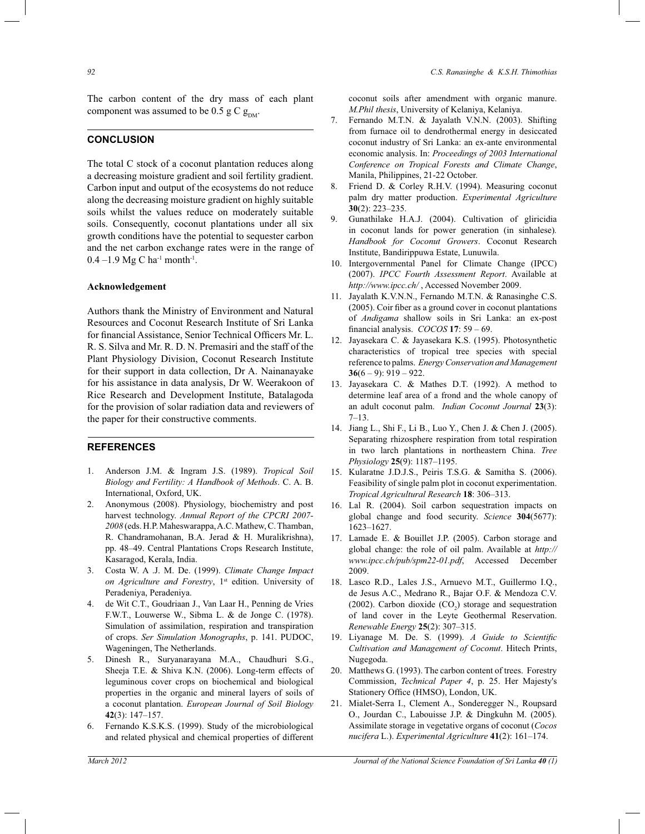The carbon content of the dry mass of each plant component was assumed to be 0.5 g C  $g_{\text{DM}}$ .

# **CONCLUSION**

The total C stock of a coconut plantation reduces along a decreasing moisture gradient and soil fertility gradient. Carbon input and output of the ecosystems do not reduce along the decreasing moisture gradient on highly suitable soils whilst the values reduce on moderately suitable soils. Consequently, coconut plantations under all six growth conditions have the potential to sequester carbon and the net carbon exchange rates were in the range of 0.4 –1.9 Mg C ha<sup>-1</sup> month<sup>-1</sup>.

#### **Acknowledgement**

Authors thank the Ministry of Environment and Natural Resources and Coconut Research Institute of Sri Lanka for financial Assistance, Senior Technical Officers Mr. L. R. S. Silva and Mr. R. D. N. Premasiri and the staff of the Plant Physiology Division, Coconut Research Institute for their support in data collection, Dr A. Nainanayake for his assistance in data analysis, Dr W. Weerakoon of Rice Research and Development Institute, Batalagoda for the provision of solar radiation data and reviewers of the paper for their constructive comments.

#### **REFERENCES**

- 1. Anderson J.M. & Ingram J.S. (1989). *Tropical Soil Biology and Fertility: A Handbook of Methods*. C. A. B. International, Oxford, UK.
- 2. Anonymous (2008). Physiology, biochemistry and post harvest technology. *Annual Report of the CPCRI 2007- 2008* (eds. H.P. Maheswarappa, A.C. Mathew, C. Thamban, R. Chandramohanan, B.A. Jerad & H. Muralikrishna), pp. 48*–*49. Central Plantations Crops Research Institute, Kasaragod, Kerala, India.
- 3. Costa W. A .J. M. De. (1999). *Climate Change Impact on Agriculture and Forestry*, 1<sup>st</sup> edition. University of Peradeniya, Peradeniya.
- 4. de Wit C.T., Goudriaan J., Van Laar H., Penning de Vries F.W.T., Louwerse W., Sibma L. & de Jonge C. (1978). Simulation of assimilation, respiration and transpiration of crops. *Ser Simulation Monographs*, p. 141. PUDOC, Wageningen, The Netherlands.
- 5. Dinesh R., Suryanarayana M.A., Chaudhuri S.G., Sheeja T.E. & Shiva K.N. (2006). Long-term effects of leguminous cover crops on biochemical and biological properties in the organic and mineral layers of soils of a coconut plantation. *European Journal of Soil Biology* **42**(3): 147*–*157.
- 6. Fernando K.S.K.S. (1999). Study of the microbiological and related physical and chemical properties of different

coconut soils after amendment with organic manure. *M.Phil thesis*, University of Kelaniya, Kelaniya.

- 7. Fernando M.T.N. & Jayalath V.N.N. (2003). Shifting from furnace oil to dendrothermal energy in desiccated coconut industry of Sri Lanka: an ex-ante environmental economic analysis. In: *Proceedings of 2003 International Conference on Tropical Forests and Climate Change*, Manila, Philippines, 21-22 October.
- 8. Friend D. & Corley R.H.V. (1994). Measuring coconut palm dry matter production. *Experimental Agriculture* **30**(2): 223*–*235.
- 9. Gunathilake H.A.J. (2004). Cultivation of gliricidia in coconut lands for power generation (in sinhalese)*. Handbook for Coconut Growers*. Coconut Research Institute, Bandirippuwa Estate, Lunuwila.
- 10. Intergovernmental Panel for Climate Change (IPCC) (2007). *IPCC Fourth Assessment Report*. Available at *http://www.ipcc.ch/* , Accessed November 2009.
- 11. Jayalath K.V.N.N., Fernando M.T.N. & Ranasinghe C.S. (2005). Coir fiber as a ground cover in coconut plantations of *Andigama* shallow soils in Sri Lanka: an ex-post financial analysis. *COCOS* **17**: 59 – 69.
- 12. Jayasekara C. & Jayasekara K.S. (1995). Photosynthetic characteristics of tropical tree species with special reference to palms. *Energy Conservation and Management* **36**(6 *–* 9): 919 *–* 922.
- 13. Jayasekara C. & Mathes D.T. (1992). A method to determine leaf area of a frond and the whole canopy of an adult coconut palm. *Indian Coconut Journal* **23**(3): 7*–*13.
- 14. Jiang L., Shi F., Li B., Luo Y., Chen J. & Chen J. (2005). Separating rhizosphere respiration from total respiration in two larch plantations in northeastern China. *Tree Physiology* **25**(9): 1187*–*1195.
- 15. Kularatne J.D.J.S., Peiris T.S.G. & Samitha S. (2006). Feasibility of single palm plot in coconut experimentation. *Tropical Agricultural Research* **18**: 306*–*313.
- 16. Lal R. (2004). Soil carbon sequestration impacts on global change and food security. *Science* **304**(5677): 1623*–*1627.
- 17. Lamade E. & Bouillet J.P. (2005). Carbon storage and global change: the role of oil palm. Available at *http:// www.ipcc.ch/pub/spm22-01.pdf*, Accessed December 2009.
- 18. Lasco R.D., Lales J.S., Arnuevo M.T., Guillermo I.Q., de Jesus A.C., Medrano R., Bajar O.F. & Mendoza C.V. (2002). Carbon dioxide  $(CO<sub>2</sub>)$  storage and sequestration of land cover in the Leyte Geothermal Reservation. *Renewable Energy* **25**(2): 307*–*315.
- 19. Liyanage M. De. S. (1999). *A Guide to Scientific Cultivation and Management of Coconut*. Hitech Prints, Nugegoda.
- 20. Matthews G. (1993). The carbon content of trees. Forestry Commission, *Technical Paper 4*, p. 25. Her Majesty's Stationery Office (HMSO), London, UK.
- 21. Mialet-Serra I., Clement A., Sonderegger N., Roupsard O., Jourdan C., Labouisse J.P. & Dingkuhn M. (2005). Assimilate storage in vegetative organs of coconut (*Cocos nucifera* L.). *Experimental Agriculture* **41**(2): 161*–*174.